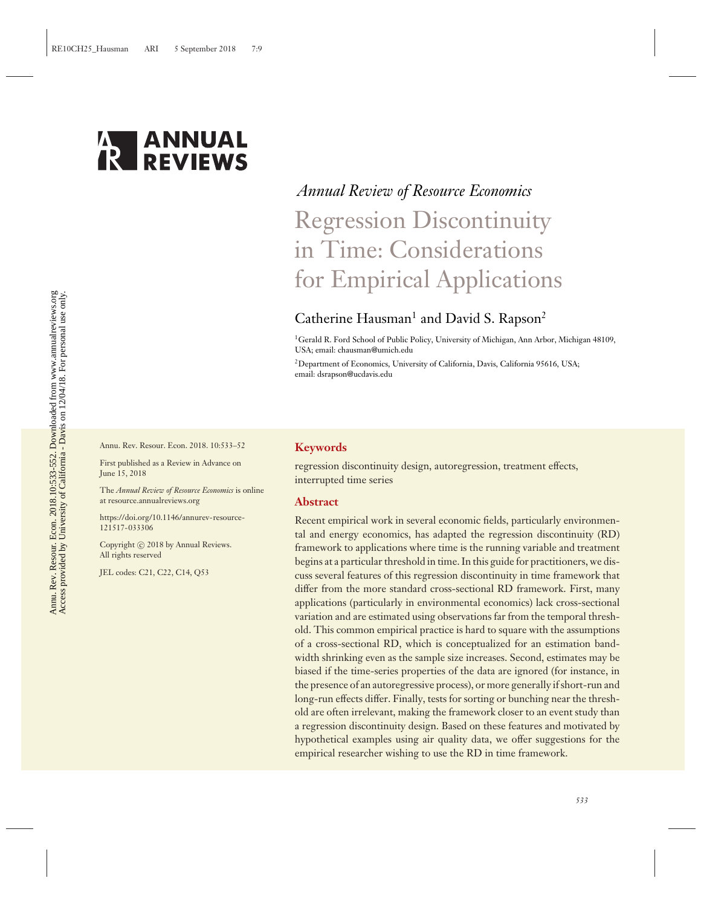

# *Annual Review of Resource Economics* Regression Discontinuity in Time: Considerations for Empirical Applications

# Catherine Hausman<sup>1</sup> and David S. Rapson<sup>2</sup>

<sup>1</sup>Gerald R. Ford School of Public Policy, University of Michigan, Ann Arbor, Michigan 48109, USA; email: chausman@umich.edu

<sup>2</sup>Department of Economics, University of California, Davis, California 95616, USA: email: dsrapson@ucdavis.edu

Annu. Rev. Resour. Econ. 2018. 10:533–52

First published as a Review in Advance on June 15, 2018

The *Annual Review of Resource Economics* is online at resource.annualreviews.org

[https://doi.org/10.1146/annurev-resource-](https://doi.org/10.1146/annurev-resource-121517-033306)[121517-033306](https://doi.org/10.1146/annurev-resource-121517-033306)

Copyright © 2018 by Annual Reviews. All rights reserved

JEL codes: C21, C22, C14, Q53

#### **Keywords**

regression discontinuity design, autoregression, treatment effects, interrupted time series

#### **Abstract**

Recent empirical work in several economic fields, particularly environmental and energy economics, has adapted the regression discontinuity (RD) framework to applications where time is the running variable and treatment begins at a particular threshold in time. In this guide for practitioners, we discuss several features of this regression discontinuity in time framework that differ from the more standard cross-sectional RD framework. First, many applications (particularly in environmental economics) lack cross-sectional variation and are estimated using observations far from the temporal threshold. This common empirical practice is hard to square with the assumptions of a cross-sectional RD, which is conceptualized for an estimation bandwidth shrinking even as the sample size increases. Second, estimates may be biased if the time-series properties of the data are ignored (for instance, in the presence of an autoregressive process), or more generally if short-run and long-run effects differ. Finally, tests for sorting or bunching near the threshold are often irrelevant, making the framework closer to an event study than a regression discontinuity design. Based on these features and motivated by hypothetical examples using air quality data, we offer suggestions for the empirical researcher wishing to use the RD in time framework.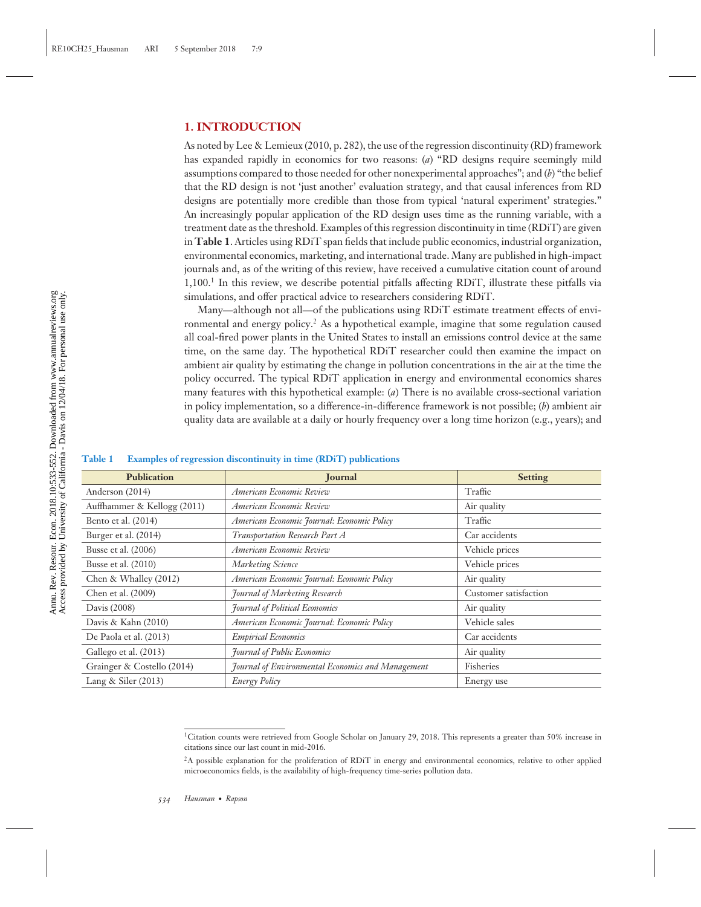#### **1. INTRODUCTION**

As noted by Lee & Lemieux (2010, p. 282), the use of the regression discontinuity (RD) framework has expanded rapidly in economics for two reasons: (*a*) "RD designs require seemingly mild assumptions compared to those needed for other nonexperimental approaches"; and (*b*) "the belief that the RD design is not 'just another' evaluation strategy, and that causal inferences from RD designs are potentially more credible than those from typical 'natural experiment' strategies." An increasingly popular application of the RD design uses time as the running variable, with a treatment date as the threshold. Examples of this regression discontinuity in time (RDiT) are given in **Table 1**. Articles using RDiT span fields that include public economics, industrial organization, environmental economics, marketing, and international trade. Many are published in high-impact journals and, as of the writing of this review, have received a cumulative citation count of around 1,100.<sup>1</sup> In this review, we describe potential pitfalls affecting RDiT, illustrate these pitfalls via simulations, and offer practical advice to researchers considering RDiT.

Many—although not all—of the publications using RDiT estimate treatment effects of environmental and energy policy.<sup>2</sup> As a hypothetical example, imagine that some regulation caused all coal-fired power plants in the United States to install an emissions control device at the same time, on the same day. The hypothetical RDiT researcher could then examine the impact on ambient air quality by estimating the change in pollution concentrations in the air at the time the policy occurred. The typical RDiT application in energy and environmental economics shares many features with this hypothetical example: (*a*) There is no available cross-sectional variation in policy implementation, so a difference-in-difference framework is not possible; (*b*) ambient air quality data are available at a daily or hourly frequency over a long time horizon (e.g., years); and

#### **Table 1 Examples of regression discontinuity in time (RDiT) publications**

| Publication                 | <b>Journal</b>                                    | <b>Setting</b>        |
|-----------------------------|---------------------------------------------------|-----------------------|
| Anderson (2014)             | American Economic Review                          | Traffic               |
| Auffhammer & Kellogg (2011) | American Economic Review                          | Air quality           |
| Bento et al. (2014)         | American Economic Journal: Economic Policy        | Traffic               |
| Burger et al. (2014)        | Transportation Research Part A                    | Car accidents         |
| Busse et al. (2006)         | American Economic Review                          | Vehicle prices        |
| Busse et al. (2010)         | <b>Marketing Science</b>                          | Vehicle prices        |
| Chen & Whalley (2012)       | American Economic Journal: Economic Policy        | Air quality           |
| Chen et al. (2009)          | <b>Journal of Marketing Research</b>              | Customer satisfaction |
| Davis (2008)                | <b>Journal of Political Economics</b>             | Air quality           |
| Davis & Kahn (2010)         | American Economic Journal: Economic Policy        | Vehicle sales         |
| De Paola et al. (2013)      | <b>Empirical Economics</b>                        | Car accidents         |
| Gallego et al. (2013)       | <b>Journal of Public Economics</b>                | Air quality           |
| Grainger & Costello (2014)  | Journal of Environmental Economics and Management | Fisheries             |
| Lang & Siler $(2013)$       | <b>Energy Policy</b>                              | Energy use            |

<sup>&</sup>lt;sup>1</sup>Citation counts were retrieved from Google Scholar on January 29, 2018. This represents a greater than 50% increase in citations since our last count in mid-2016.

<sup>&</sup>lt;sup>2</sup>A possible explanation for the proliferation of RDiT in energy and environmental economics, relative to other applied microeconomics fields, is the availability of high-frequency time-series pollution data.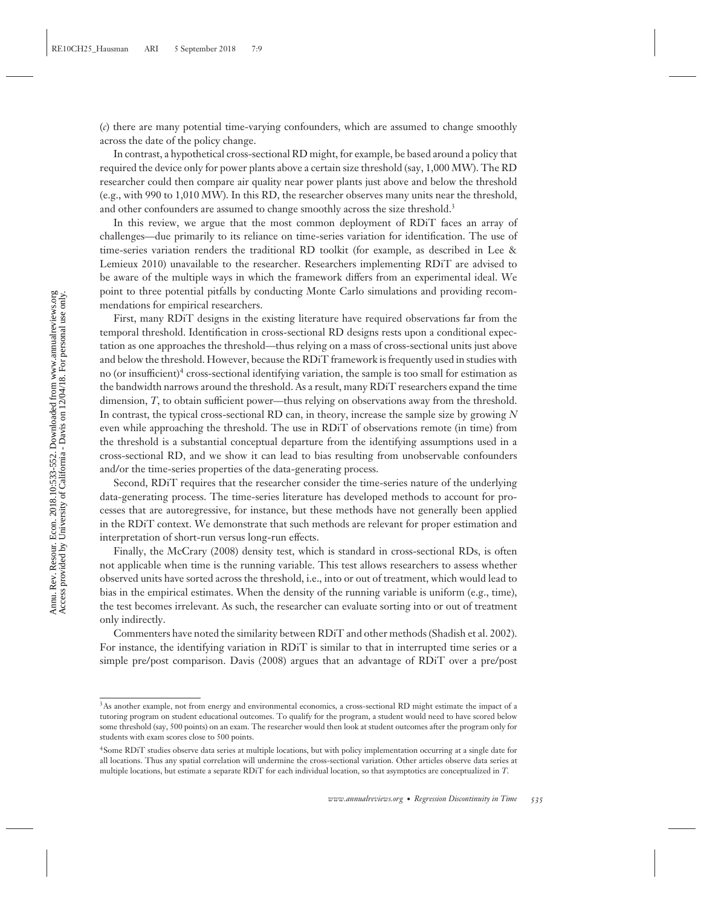(*c*) there are many potential time-varying confounders, which are assumed to change smoothly across the date of the policy change.

In contrast, a hypothetical cross-sectional RD might, for example, be based around a policy that required the device only for power plants above a certain size threshold (say, 1,000 MW). The RD researcher could then compare air quality near power plants just above and below the threshold (e.g., with 990 to 1,010 MW). In this RD, the researcher observes many units near the threshold, and other confounders are assumed to change smoothly across the size threshold.<sup>3</sup>

In this review, we argue that the most common deployment of RDiT faces an array of challenges—due primarily to its reliance on time-series variation for identification. The use of time-series variation renders the traditional RD toolkit (for example, as described in Lee & Lemieux 2010) unavailable to the researcher. Researchers implementing RDiT are advised to be aware of the multiple ways in which the framework differs from an experimental ideal. We point to three potential pitfalls by conducting Monte Carlo simulations and providing recommendations for empirical researchers.

First, many RDiT designs in the existing literature have required observations far from the temporal threshold. Identification in cross-sectional RD designs rests upon a conditional expectation as one approaches the threshold—thus relying on a mass of cross-sectional units just above and below the threshold. However, because the RDiT framework is frequently used in studies with no (or insufficient)<sup>4</sup> cross-sectional identifying variation, the sample is too small for estimation as the bandwidth narrows around the threshold. As a result, many RDiT researchers expand the time dimension, *T*, to obtain sufficient power—thus relying on observations away from the threshold. In contrast, the typical cross-sectional RD can, in theory, increase the sample size by growing *N* even while approaching the threshold. The use in RDiT of observations remote (in time) from the threshold is a substantial conceptual departure from the identifying assumptions used in a cross-sectional RD, and we show it can lead to bias resulting from unobservable confounders and/or the time-series properties of the data-generating process.

Second, RDiT requires that the researcher consider the time-series nature of the underlying data-generating process. The time-series literature has developed methods to account for processes that are autoregressive, for instance, but these methods have not generally been applied in the RDiT context. We demonstrate that such methods are relevant for proper estimation and interpretation of short-run versus long-run effects.

Finally, the McCrary (2008) density test, which is standard in cross-sectional RDs, is often not applicable when time is the running variable. This test allows researchers to assess whether observed units have sorted across the threshold, i.e., into or out of treatment, which would lead to bias in the empirical estimates. When the density of the running variable is uniform (e.g., time), the test becomes irrelevant. As such, the researcher can evaluate sorting into or out of treatment only indirectly.

Commenters have noted the similarity between RDiT and other methods (Shadish et al. 2002). For instance, the identifying variation in RDiT is similar to that in interrupted time series or a simple pre/post comparison. Davis (2008) argues that an advantage of RDiT over a pre/post

<sup>&</sup>lt;sup>3</sup>As another example, not from energy and environmental economics, a cross-sectional RD might estimate the impact of a tutoring program on student educational outcomes. To qualify for the program, a student would need to have scored below some threshold (say, 500 points) on an exam. The researcher would then look at student outcomes after the program only for students with exam scores close to 500 points.

<sup>4</sup>Some RDiT studies observe data series at multiple locations, but with policy implementation occurring at a single date for all locations. Thus any spatial correlation will undermine the cross-sectional variation. Other articles observe data series at multiple locations, but estimate a separate RDiT for each individual location, so that asymptotics are conceptualized in *T*.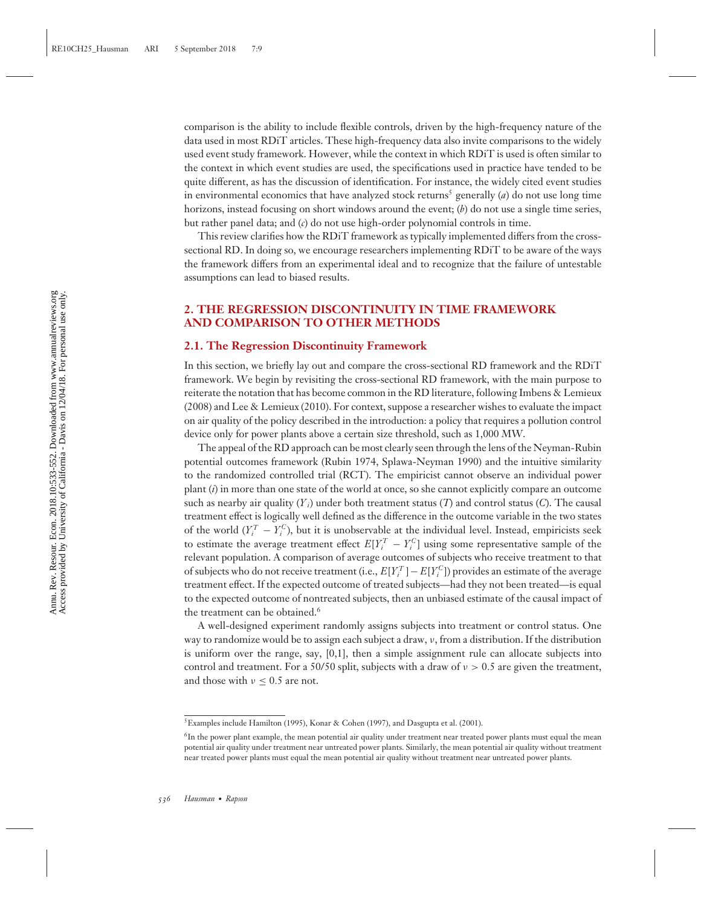comparison is the ability to include flexible controls, driven by the high-frequency nature of the data used in most RDiT articles. These high-frequency data also invite comparisons to the widely used event study framework. However, while the context in which RDiT is used is often similar to the context in which event studies are used, the specifications used in practice have tended to be quite different, as has the discussion of identification. For instance, the widely cited event studies in environmental economics that have analyzed stock returns<sup>5</sup> generally (*a*) do not use long time horizons, instead focusing on short windows around the event; (*b*) do not use a single time series, but rather panel data; and (*c*) do not use high-order polynomial controls in time.

This review clarifies how the RDiT framework as typically implemented differs from the crosssectional RD. In doing so, we encourage researchers implementing RDiT to be aware of the ways the framework differs from an experimental ideal and to recognize that the failure of untestable assumptions can lead to biased results.

### **2. THE REGRESSION DISCONTINUITY IN TIME FRAMEWORK AND COMPARISON TO OTHER METHODS**

#### **2.1. The Regression Discontinuity Framework**

In this section, we briefly lay out and compare the cross-sectional RD framework and the RDiT framework. We begin by revisiting the cross-sectional RD framework, with the main purpose to reiterate the notation that has become common in the RD literature, following Imbens & Lemieux (2008) and Lee & Lemieux (2010). For context, suppose a researcher wishes to evaluate the impact on air quality of the policy described in the introduction: a policy that requires a pollution control device only for power plants above a certain size threshold, such as 1,000 MW.

The appeal of the RD approach can be most clearly seen through the lens of the Neyman-Rubin potential outcomes framework (Rubin 1974, Splawa-Neyman 1990) and the intuitive similarity to the randomized controlled trial (RCT). The empiricist cannot observe an individual power plant (*i*) in more than one state of the world at once, so she cannot explicitly compare an outcome such as nearby air quality  $(Y_i)$  under both treatment status  $(T)$  and control status  $(C)$ . The causal treatment effect is logically well defined as the difference in the outcome variable in the two states of the world  $(Y_i^T - Y_i^C)$ , but it is unobservable at the individual level. Instead, empiricists seek to estimate the average treatment effect  $E[Y_i^T - Y_i^C]$  using some representative sample of the relevant population. A comparison of average outcomes of subjects who receive treatment to that of subjects who do not receive treatment (i.e.,  $E[Y_i^T] - E[Y_i^C]$ ) provides an estimate of the average treatment effect. If the expected outcome of treated subjects—had they not been treated—is equal to the expected outcome of nontreated subjects, then an unbiased estimate of the causal impact of the treatment can be obtained.<sup>6</sup>

A well-designed experiment randomly assigns subjects into treatment or control status. One way to randomize would be to assign each subject a draw, ν, from a distribution. If the distribution is uniform over the range, say, [0,1], then a simple assignment rule can allocate subjects into control and treatment. For a 50/50 split, subjects with a draw of  $v > 0.5$  are given the treatment, and those with  $\nu < 0.5$  are not.

<sup>&</sup>lt;sup>5</sup> Examples include Hamilton (1995), Konar & Cohen (1997), and Dasgupta et al. (2001).

<sup>&</sup>lt;sup>6</sup>In the power plant example, the mean potential air quality under treatment near treated power plants must equal the mean potential air quality under treatment near untreated power plants. Similarly, the mean potential air quality without treatment near treated power plants must equal the mean potential air quality without treatment near untreated power plants.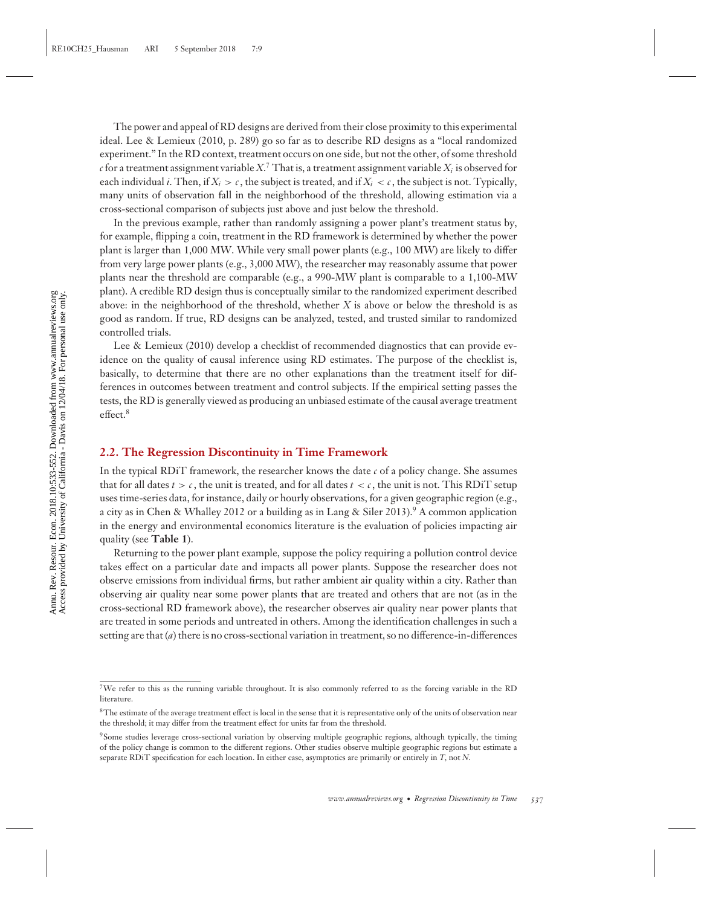The power and appeal of RD designs are derived from their close proximity to this experimental ideal. Lee & Lemieux (2010, p. 289) go so far as to describe RD designs as a "local randomized experiment." In the RD context, treatment occurs on one side, but not the other, of some threshold  $c$  for a treatment assignment variable  $X$ .<sup>7</sup> That is, a treatment assignment variable  $X_i$  is observed for each individual *i*. Then, if  $X_i > c$ , the subject is treated, and if  $X_i < c$ , the subject is not. Typically, many units of observation fall in the neighborhood of the threshold, allowing estimation via a cross-sectional comparison of subjects just above and just below the threshold.

In the previous example, rather than randomly assigning a power plant's treatment status by, for example, flipping a coin, treatment in the RD framework is determined by whether the power plant is larger than 1,000 MW. While very small power plants (e.g., 100 MW) are likely to differ from very large power plants (e.g., 3,000 MW), the researcher may reasonably assume that power plants near the threshold are comparable (e.g., a 990-MW plant is comparable to a 1,100-MW plant). A credible RD design thus is conceptually similar to the randomized experiment described above: in the neighborhood of the threshold, whether *X* is above or below the threshold is as good as random. If true, RD designs can be analyzed, tested, and trusted similar to randomized controlled trials.

Lee & Lemieux (2010) develop a checklist of recommended diagnostics that can provide evidence on the quality of causal inference using RD estimates. The purpose of the checklist is, basically, to determine that there are no other explanations than the treatment itself for differences in outcomes between treatment and control subjects. If the empirical setting passes the tests, the RD is generally viewed as producing an unbiased estimate of the causal average treatment effect.<sup>8</sup>

#### **2.2. The Regression Discontinuity in Time Framework**

In the typical RDiT framework, the researcher knows the date *c* of a policy change. She assumes that for all dates  $t > c$ , the unit is treated, and for all dates  $t < c$ , the unit is not. This RDiT setup uses time-series data, for instance, daily or hourly observations, for a given geographic region (e.g., a city as in Chen & Whalley 2012 or a building as in Lang & Siler 2013).<sup>9</sup> A common application in the energy and environmental economics literature is the evaluation of policies impacting air quality (see **Table 1**).

Returning to the power plant example, suppose the policy requiring a pollution control device takes effect on a particular date and impacts all power plants. Suppose the researcher does not observe emissions from individual firms, but rather ambient air quality within a city. Rather than observing air quality near some power plants that are treated and others that are not (as in the cross-sectional RD framework above), the researcher observes air quality near power plants that are treated in some periods and untreated in others. Among the identification challenges in such a setting are that (*a*) there is no cross-sectional variation in treatment, so no difference-in-differences

<sup>7</sup>We refer to this as the running variable throughout. It is also commonly referred to as the forcing variable in the RD literature.

<sup>8</sup>The estimate of the average treatment effect is local in the sense that it is representative only of the units of observation near the threshold; it may differ from the treatment effect for units far from the threshold.

<sup>9</sup>Some studies leverage cross-sectional variation by observing multiple geographic regions, although typically, the timing of the policy change is common to the different regions. Other studies observe multiple geographic regions but estimate a separate RDiT specification for each location. In either case, asymptotics are primarily or entirely in *T*, not *N*.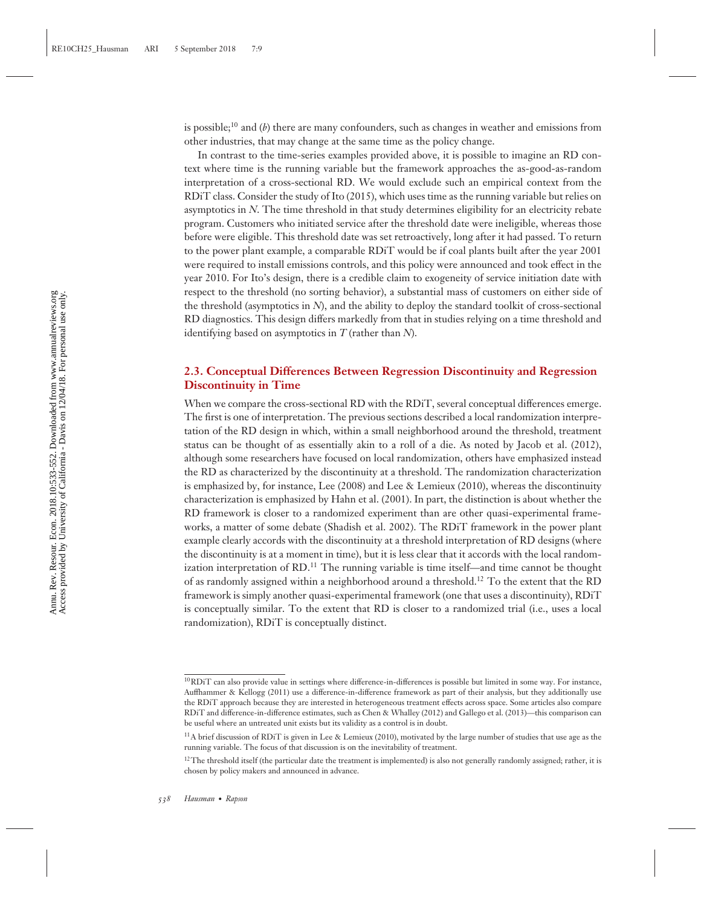is possible;10 and (*b*) there are many confounders, such as changes in weather and emissions from other industries, that may change at the same time as the policy change.

In contrast to the time-series examples provided above, it is possible to imagine an RD context where time is the running variable but the framework approaches the as-good-as-random interpretation of a cross-sectional RD. We would exclude such an empirical context from the RDiT class. Consider the study of Ito (2015), which uses time as the running variable but relies on asymptotics in *N*. The time threshold in that study determines eligibility for an electricity rebate program. Customers who initiated service after the threshold date were ineligible, whereas those before were eligible. This threshold date was set retroactively, long after it had passed. To return to the power plant example, a comparable RDiT would be if coal plants built after the year 2001 were required to install emissions controls, and this policy were announced and took effect in the year 2010. For Ito's design, there is a credible claim to exogeneity of service initiation date with respect to the threshold (no sorting behavior), a substantial mass of customers on either side of the threshold (asymptotics in *N*), and the ability to deploy the standard toolkit of cross-sectional RD diagnostics. This design differs markedly from that in studies relying on a time threshold and identifying based on asymptotics in *T* (rather than *N*).

#### **2.3. Conceptual Differences Between Regression Discontinuity and Regression Discontinuity in Time**

When we compare the cross-sectional RD with the RDiT, several conceptual differences emerge. The first is one of interpretation. The previous sections described a local randomization interpretation of the RD design in which, within a small neighborhood around the threshold, treatment status can be thought of as essentially akin to a roll of a die. As noted by Jacob et al. (2012), although some researchers have focused on local randomization, others have emphasized instead the RD as characterized by the discontinuity at a threshold. The randomization characterization is emphasized by, for instance, Lee (2008) and Lee & Lemieux (2010), whereas the discontinuity characterization is emphasized by Hahn et al. (2001). In part, the distinction is about whether the RD framework is closer to a randomized experiment than are other quasi-experimental frameworks, a matter of some debate (Shadish et al. 2002). The RDiT framework in the power plant example clearly accords with the discontinuity at a threshold interpretation of RD designs (where the discontinuity is at a moment in time), but it is less clear that it accords with the local randomization interpretation of  $RD$ .<sup>11</sup> The running variable is time itself—and time cannot be thought of as randomly assigned within a neighborhood around a threshold.<sup>12</sup> To the extent that the RD framework is simply another quasi-experimental framework (one that uses a discontinuity), RDiT is conceptually similar. To the extent that RD is closer to a randomized trial (i.e., uses a local randomization), RDiT is conceptually distinct.

<sup>&</sup>lt;sup>10</sup>RDiT can also provide value in settings where difference-in-differences is possible but limited in some way. For instance, Auffhammer & Kellogg (2011) use a difference-in-difference framework as part of their analysis, but they additionally use the RDiT approach because they are interested in heterogeneous treatment effects across space. Some articles also compare RDiT and difference-in-difference estimates, such as Chen & Whalley (2012) and Gallego et al. (2013)—this comparison can be useful where an untreated unit exists but its validity as a control is in doubt.

<sup>&</sup>lt;sup>11</sup>A brief discussion of RDiT is given in Lee & Lemieux (2010), motivated by the large number of studies that use age as the running variable. The focus of that discussion is on the inevitability of treatment.

<sup>&</sup>lt;sup>12</sup>The threshold itself (the particular date the treatment is implemented) is also not generally randomly assigned; rather, it is chosen by policy makers and announced in advance.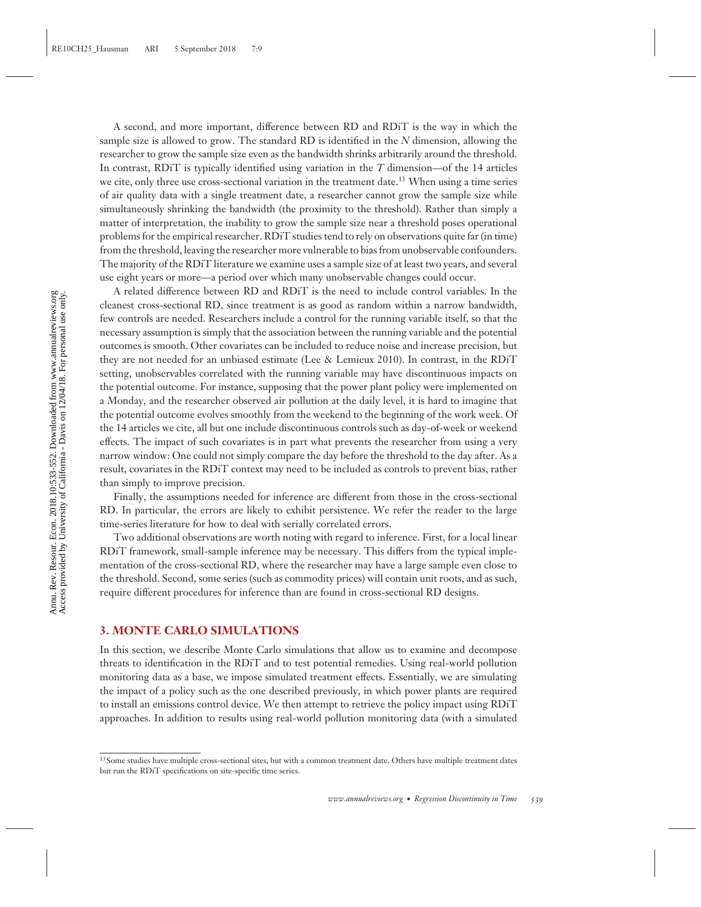A second, and more important, difference between RD and RDiT is the way in which the sample size is allowed to grow. The standard RD is identified in the *N* dimension, allowing the researcher to grow the sample size even as the bandwidth shrinks arbitrarily around the threshold. In contrast, RDiT is typically identified using variation in the *T* dimension—of the 14 articles we cite, only three use cross-sectional variation in the treatment date.<sup>13</sup> When using a time series of air quality data with a single treatment date, a researcher cannot grow the sample size while simultaneously shrinking the bandwidth (the proximity to the threshold). Rather than simply a matter of interpretation, the inability to grow the sample size near a threshold poses operational problems for the empirical researcher. RDiT studies tend to rely on observations quite far (in time) from the threshold, leaving the researcher more vulnerable to bias from unobservable confounders. The majority of the RDiT literature we examine uses a sample size of at least two years, and several use eight years or more—a period over which many unobservable changes could occur.

A related difference between RD and RDiT is the need to include control variables. In the cleanest cross-sectional RD, since treatment is as good as random within a narrow bandwidth, few controls are needed. Researchers include a control for the running variable itself, so that the necessary assumption is simply that the association between the running variable and the potential outcomes is smooth. Other covariates can be included to reduce noise and increase precision, but they are not needed for an unbiased estimate (Lee & Lemieux 2010). In contrast, in the RDiT setting, unobservables correlated with the running variable may have discontinuous impacts on the potential outcome. For instance, supposing that the power plant policy were implemented on a Monday, and the researcher observed air pollution at the daily level, it is hard to imagine that the potential outcome evolves smoothly from the weekend to the beginning of the work week. Of the 14 articles we cite, all but one include discontinuous controls such as day-of-week or weekend effects. The impact of such covariates is in part what prevents the researcher from using a very narrow window: One could not simply compare the day before the threshold to the day after. As a result, covariates in the RDiT context may need to be included as controls to prevent bias, rather than simply to improve precision.

Finally, the assumptions needed for inference are different from those in the cross-sectional RD. In particular, the errors are likely to exhibit persistence. We refer the reader to the large time-series literature for how to deal with serially correlated errors.

Two additional observations are worth noting with regard to inference. First, for a local linear RDiT framework, small-sample inference may be necessary. This differs from the typical implementation of the cross-sectional RD, where the researcher may have a large sample even close to the threshold. Second, some series (such as commodity prices) will contain unit roots, and as such, require different procedures for inference than are found in cross-sectional RD designs.

#### **3. MONTE CARLO SIMULATIONS**

In this section, we describe Monte Carlo simulations that allow us to examine and decompose threats to identification in the RDiT and to test potential remedies. Using real-world pollution monitoring data as a base, we impose simulated treatment effects. Essentially, we are simulating the impact of a policy such as the one described previously, in which power plants are required to install an emissions control device. We then attempt to retrieve the policy impact using RDiT approaches. In addition to results using real-world pollution monitoring data (with a simulated

<sup>&</sup>lt;sup>13</sup> Some studies have multiple cross-sectional sites, but with a common treatment date. Others have multiple treatment dates but run the RDiT specifications on site-specific time series.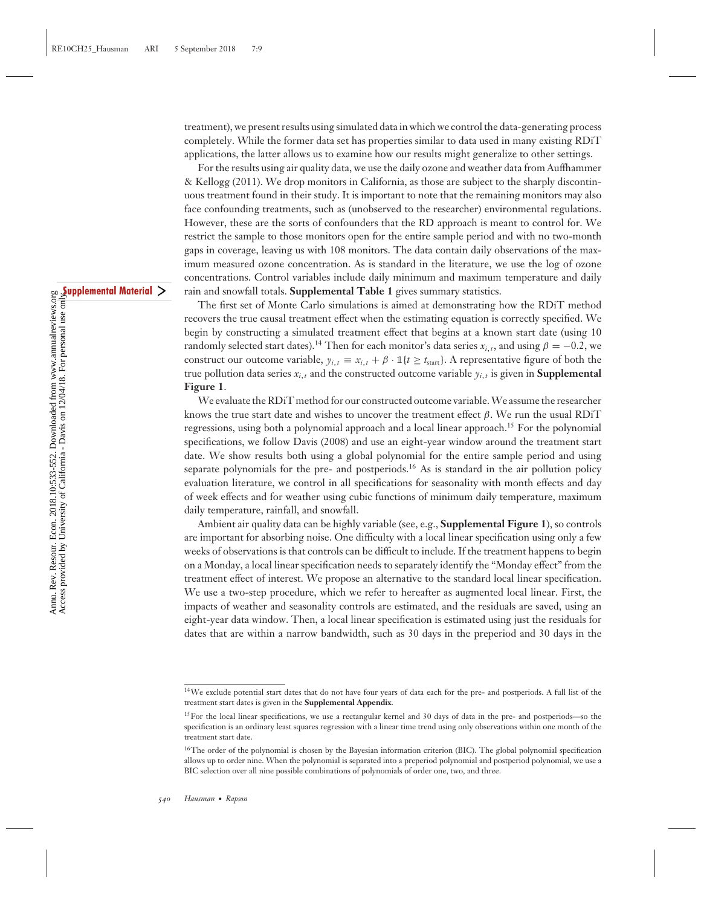treatment), we present results using simulated data in which we control the data-generating process completely. While the former data set has properties similar to data used in many existing RDiT applications, the latter allows us to examine how our results might generalize to other settings.

For the results using air quality data, we use the daily ozone and weather data from Auffhammer & Kellogg (2011). We drop monitors in California, as those are subject to the sharply discontinuous treatment found in their study. It is important to note that the remaining monitors may also face confounding treatments, such as (unobserved to the researcher) environmental regulations. However, these are the sorts of confounders that the RD approach is meant to control for. We restrict the sample to those monitors open for the entire sample period and with no two-month gaps in coverage, leaving us with 108 monitors. The data contain daily observations of the maximum measured ozone concentration. As is standard in the literature, we use the log of ozone concentrations. Control variables include daily minimum and maximum temperature and daily rain and snowfall totals. **Supplemental Table 1** gives summary statistics.

The first set of Monte Carlo simulations is aimed at demonstrating how the RDiT method recovers the true causal treatment effect when the estimating equation is correctly specified. We begin by constructing a simulated treatment effect that begins at a known start date (using 10 randomly selected start dates).<sup>14</sup> Then for each monitor's data series  $x_{i,t}$ , and using  $\beta = -0.2$ , we construct our outcome variable,  $y_{i,t} \equiv x_{i,t} + \beta \cdot \mathbb{1}\{t \ge t_{\text{start}}\}$ . A representative figure of both the true pollution data series  $x_{i,t}$  and the constructed outcome variable  $y_{i,t}$  is given in **Supplemental Figure 1**.

We evaluate the RDiT method for our constructed outcome variable.We assume the researcher knows the true start date and wishes to uncover the treatment effect β. We run the usual RDiT regressions, using both a polynomial approach and a local linear approach.15 For the polynomial specifications, we follow Davis (2008) and use an eight-year window around the treatment start date. We show results both using a global polynomial for the entire sample period and using separate polynomials for the pre- and postperiods.<sup>16</sup> As is standard in the air pollution policy evaluation literature, we control in all specifications for seasonality with month effects and day of week effects and for weather using cubic functions of minimum daily temperature, maximum daily temperature, rainfall, and snowfall.

Ambient air quality data can be highly variable (see, e.g., **Supplemental Figure 1**), so controls are important for absorbing noise. One difficulty with a local linear specification using only a few weeks of observations is that controls can be difficult to include. If the treatment happens to begin on a Monday, a local linear specification needs to separately identify the "Monday effect" from the treatment effect of interest. We propose an alternative to the standard local linear specification. We use a two-step procedure, which we refer to hereafter as augmented local linear. First, the impacts of weather and seasonality controls are estimated, and the residuals are saved, using an eight-year data window. Then, a local linear specification is estimated using just the residuals for dates that are within a narrow bandwidth, such as 30 days in the preperiod and 30 days in the

<sup>14</sup>We exclude potential start dates that do not have four years of data each for the pre- and postperiods. A full list of the treatment start dates is given in the **Supplemental Appendix**.

<sup>&</sup>lt;sup>15</sup>For the local linear specifications, we use a rectangular kernel and 30 days of data in the pre- and postperiods—so the specification is an ordinary least squares regression with a linear time trend using only observations within one month of the treatment start date.

<sup>&</sup>lt;sup>16</sup>The order of the polynomial is chosen by the Bayesian information criterion (BIC). The global polynomial specification allows up to order nine. When the polynomial is separated into a preperiod polynomial and postperiod polynomial, we use a BIC selection over all nine possible combinations of polynomials of order one, two, and three.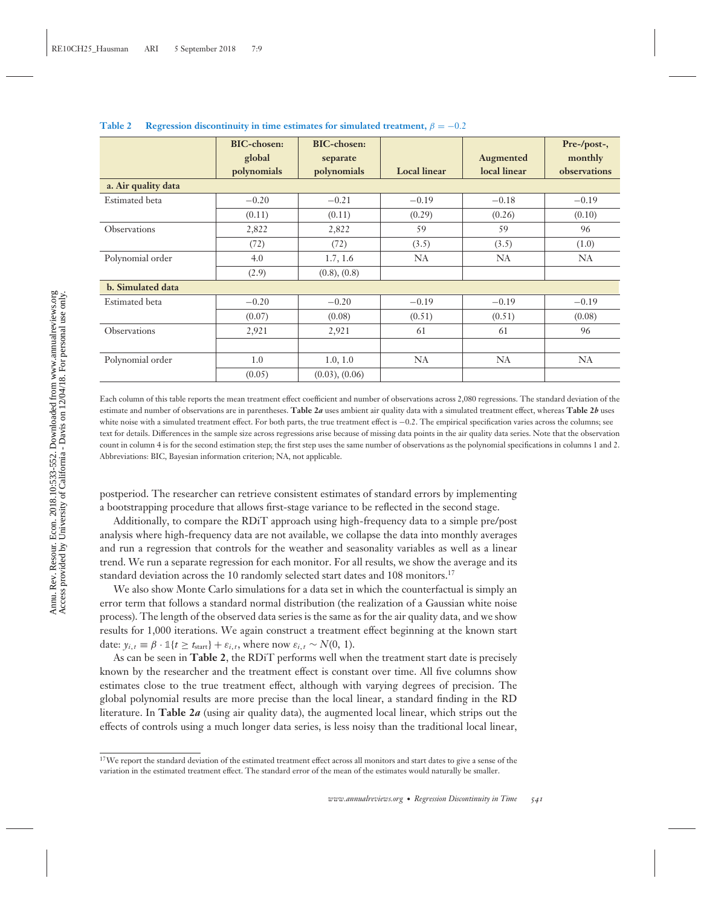|                       | <b>BIC-chosen:</b> | <b>BIC-chosen:</b>  |                     |              | Pre-/post-,  |
|-----------------------|--------------------|---------------------|---------------------|--------------|--------------|
|                       | global             | separate            |                     | Augmented    | monthly      |
|                       | polynomials        | polynomials         | <b>Local linear</b> | local linear | observations |
| a. Air quality data   |                    |                     |                     |              |              |
| Estimated beta        | $-0.20$            | $-0.21$             | $-0.19$             | $-0.18$      | $-0.19$      |
|                       | (0.11)             | (0.11)              | (0.29)              | (0.26)       | (0.10)       |
| <b>Observations</b>   | 2,822              | 2,822               | 59                  | 59           | 96           |
|                       | (72)               | (72)                | (3.5)               | (3.5)        | (1.0)        |
| Polynomial order      | 4.0                | 1.7, 1.6            | NA                  | <b>NA</b>    | NA           |
|                       | (2.9)              | (0.8), (0.8)        |                     |              |              |
| b. Simulated data     |                    |                     |                     |              |              |
| <b>Estimated</b> beta | $-0.20$            | $-0.20$             | $-0.19$             | $-0.19$      | $-0.19$      |
|                       | (0.07)             | (0.08)              | (0.51)              | (0.51)       | (0.08)       |
| Observations          | 2,921              | 2,921               | 61                  | 61           | 96           |
|                       |                    |                     |                     |              |              |
| Polynomial order      | 1.0                | 1.0, 1.0            | NA                  | NA           | <b>NA</b>    |
|                       | (0.05)             | $(0.03)$ , $(0.06)$ |                     |              |              |

**Table 2** Regression discontinuity in time estimates for simulated treatment,  $\beta = -0.2$ 

Each column of this table reports the mean treatment effect coefficient and number of observations across 2,080 regressions. The standard deviation of the estimate and number of observations are in parentheses. **Table 2***a* uses ambient air quality data with a simulated treatment effect, whereas **Table 2***b* uses white noise with a simulated treatment effect. For both parts, the true treatment effect is −0.2. The empirical specification varies across the columns; see text for details. Differences in the sample size across regressions arise because of missing data points in the air quality data series. Note that the observation count in column 4 is for the second estimation step; the first step uses the same number of observations as the polynomial specifications in columns 1 and 2. Abbreviations: BIC, Bayesian information criterion; NA, not applicable.

postperiod. The researcher can retrieve consistent estimates of standard errors by implementing a bootstrapping procedure that allows first-stage variance to be reflected in the second stage.

Additionally, to compare the RDiT approach using high-frequency data to a simple pre/post analysis where high-frequency data are not available, we collapse the data into monthly averages and run a regression that controls for the weather and seasonality variables as well as a linear trend. We run a separate regression for each monitor. For all results, we show the average and its standard deviation across the 10 randomly selected start dates and 108 monitors.<sup>17</sup>

We also show Monte Carlo simulations for a data set in which the counterfactual is simply an error term that follows a standard normal distribution (the realization of a Gaussian white noise process). The length of the observed data series is the same as for the air quality data, and we show results for 1,000 iterations. We again construct a treatment effect beginning at the known start date:  $y_{i,t} \equiv \beta \cdot \mathbb{1}\{t \ge t_{\text{start}}\} + \varepsilon_{i,t}$ , where now  $\varepsilon_{i,t} \sim N(0, 1)$ .

As can be seen in **Table 2**, the RDiT performs well when the treatment start date is precisely known by the researcher and the treatment effect is constant over time. All five columns show estimates close to the true treatment effect, although with varying degrees of precision. The global polynomial results are more precise than the local linear, a standard finding in the RD literature. In **Table 2***a* (using air quality data), the augmented local linear, which strips out the effects of controls using a much longer data series, is less noisy than the traditional local linear,

<sup>&</sup>lt;sup>17</sup>We report the standard deviation of the estimated treatment effect across all monitors and start dates to give a sense of the variation in the estimated treatment effect. The standard error of the mean of the estimates would naturally be smaller.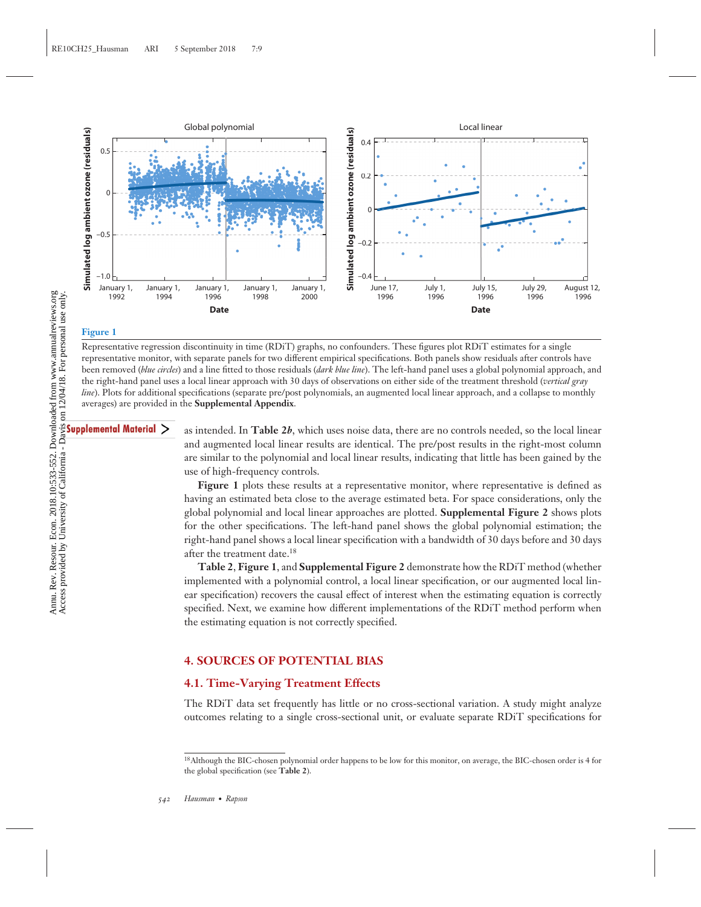

#### **Figure 1**

Representative regression discontinuity in time (RDiT) graphs, no confounders. These figures plot RDiT estimates for a single representative monitor, with separate panels for two different empirical specifications. Both panels show residuals after controls have been removed (*blue circles*) and a line fitted to those residuals (*dark blue line*). The left-hand panel uses a global polynomial approach, and the right-hand panel uses a local linear approach with 30 days of observations on either side of the treatment threshold (*vertical gray line*). Plots for additional specifications (separate pre/post polynomials, an augmented local linear approach, and a collapse to monthly averages) are provided in the **Supplemental Appendix**.

as intended. In **Table 2***b*, which uses noise data, there are no controls needed, so the local linear and augmented local linear results are identical. The pre/post results in the right-most column are similar to the polynomial and local linear results, indicating that little has been gained by the use of high-frequency controls.

Figure 1 plots these results at a representative monitor, where representative is defined as having an estimated beta close to the average estimated beta. For space considerations, only the global polynomial and local linear approaches are plotted. **Supplemental Figure 2** shows plots for the other specifications. The left-hand panel shows the global polynomial estimation; the right-hand panel shows a local linear specification with a bandwidth of 30 days before and 30 days after the treatment date.<sup>18</sup>

**Table 2**, **Figure 1**, and **Supplemental Figure 2** demonstrate how the RDiT method (whether implemented with a polynomial control, a local linear specification, or our augmented local linear specification) recovers the causal effect of interest when the estimating equation is correctly specified. Next, we examine how different implementations of the RDiT method perform when the estimating equation is not correctly specified.

### **4. SOURCES OF POTENTIAL BIAS**

#### **4.1. Time-Varying Treatment Effects**

The RDiT data set frequently has little or no cross-sectional variation. A study might analyze outcomes relating to a single cross-sectional unit, or evaluate separate RDiT specifications for

<sup>18</sup>Although the BIC-chosen polynomial order happens to be low for this monitor, on average, the BIC-chosen order is 4 for the global specification (see **Table 2**).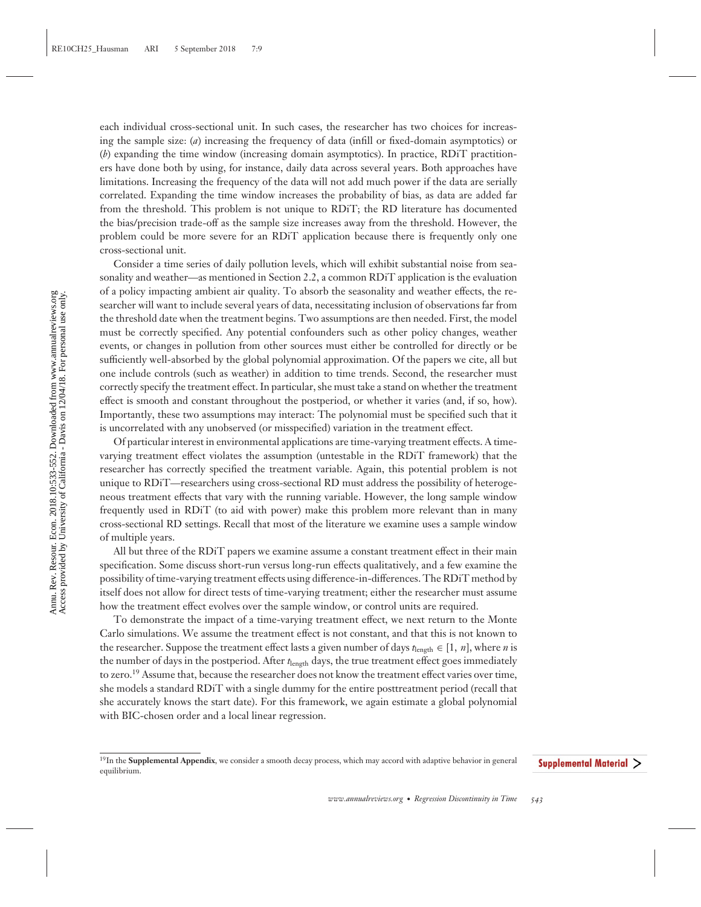each individual cross-sectional unit. In such cases, the researcher has two choices for increasing the sample size: (*a*) increasing the frequency of data (infill or fixed-domain asymptotics) or (*b*) expanding the time window (increasing domain asymptotics). In practice, RDiT practitioners have done both by using, for instance, daily data across several years. Both approaches have limitations. Increasing the frequency of the data will not add much power if the data are serially correlated. Expanding the time window increases the probability of bias, as data are added far from the threshold. This problem is not unique to RDiT; the RD literature has documented the bias/precision trade-off as the sample size increases away from the threshold. However, the problem could be more severe for an RDiT application because there is frequently only one cross-sectional unit.

Consider a time series of daily pollution levels, which will exhibit substantial noise from seasonality and weather—as mentioned in Section 2.2, a common RDiT application is the evaluation of a policy impacting ambient air quality. To absorb the seasonality and weather effects, the researcher will want to include several years of data, necessitating inclusion of observations far from the threshold date when the treatment begins. Two assumptions are then needed. First, the model must be correctly specified. Any potential confounders such as other policy changes, weather events, or changes in pollution from other sources must either be controlled for directly or be sufficiently well-absorbed by the global polynomial approximation. Of the papers we cite, all but one include controls (such as weather) in addition to time trends. Second, the researcher must correctly specify the treatment effect. In particular, she must take a stand on whether the treatment effect is smooth and constant throughout the postperiod, or whether it varies (and, if so, how). Importantly, these two assumptions may interact: The polynomial must be specified such that it is uncorrelated with any unobserved (or misspecified) variation in the treatment effect.

Of particular interest in environmental applications are time-varying treatment effects. A timevarying treatment effect violates the assumption (untestable in the RDiT framework) that the researcher has correctly specified the treatment variable. Again, this potential problem is not unique to RDiT—researchers using cross-sectional RD must address the possibility of heterogeneous treatment effects that vary with the running variable. However, the long sample window frequently used in RDiT (to aid with power) make this problem more relevant than in many cross-sectional RD settings. Recall that most of the literature we examine uses a sample window of multiple years.

All but three of the RDiT papers we examine assume a constant treatment effect in their main specification. Some discuss short-run versus long-run effects qualitatively, and a few examine the possibility of time-varying treatment effects using difference-in-differences. The RDiT method by itself does not allow for direct tests of time-varying treatment; either the researcher must assume how the treatment effect evolves over the sample window, or control units are required.

To demonstrate the impact of a time-varying treatment effect, we next return to the Monte Carlo simulations. We assume the treatment effect is not constant, and that this is not known to the researcher. Suppose the treatment effect lasts a given number of days  $t_{\text{length}} \in [1, n]$ , where *n* is the number of days in the postperiod. After  $t_{\text{length}}$  days, the true treatment effect goes immediately to zero.<sup>19</sup> Assume that, because the researcher does not know the treatment effect varies over time, she models a standard RDiT with a single dummy for the entire posttreatment period (recall that she accurately knows the start date). For this framework, we again estimate a global polynomial with BIC-chosen order and a local linear regression.

<sup>19</sup>In the **Supplemental Appendix**, we consider a smooth decay process, which may accord with adaptive behavior in general equilibrium.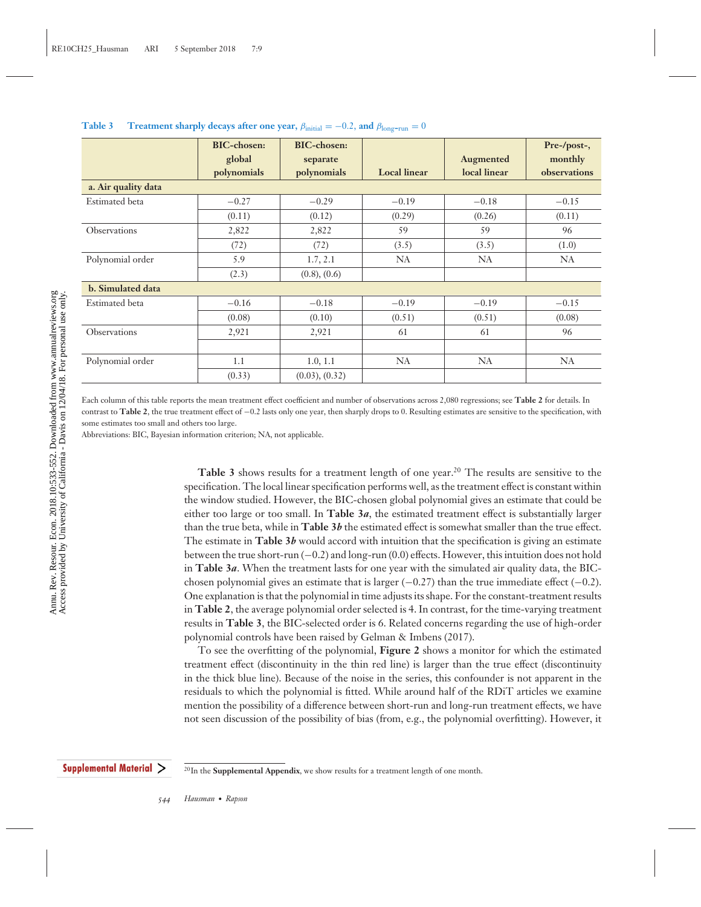|                       | <b>BIC-chosen:</b><br>global | <b>BIC-chosen:</b><br>separate |                     | Augmented    | Pre-/post-,<br>monthly |
|-----------------------|------------------------------|--------------------------------|---------------------|--------------|------------------------|
|                       | polynomials                  | polynomials                    | <b>Local</b> linear | local linear | observations           |
| a. Air quality data   |                              |                                |                     |              |                        |
| <b>Estimated</b> beta | $-0.27$                      | $-0.29$                        | $-0.19$             | $-0.18$      | $-0.15$                |
|                       | (0.11)                       | (0.12)                         | (0.29)              | (0.26)       | (0.11)                 |
| Observations          | 2,822                        | 2,822                          | 59                  | 59           | 96                     |
|                       | (72)                         | (72)                           | (3.5)               | (3.5)        | (1.0)                  |
| Polynomial order      | 5.9                          | 1.7, 2.1                       | NA                  | <b>NA</b>    | NA                     |
|                       | (2.3)                        | $(0.8)$ , $(0.6)$              |                     |              |                        |
| b. Simulated data     |                              |                                |                     |              |                        |
| <b>Estimated</b> beta | $-0.16$                      | $-0.18$                        | $-0.19$             | $-0.19$      | $-0.15$                |
|                       | (0.08)                       | (0.10)                         | (0.51)              | (0.51)       | (0.08)                 |
| Observations          | 2,921                        | 2,921                          | 61                  | 61           | 96                     |
|                       |                              |                                |                     |              |                        |
| Polynomial order      | 1.1                          | 1.0, 1.1                       | NA                  | NA           | NA                     |
|                       | (0.33)                       | $(0.03)$ , $(0.32)$            |                     |              |                        |

**Table 3** Treatment sharply decays after one year,  $\beta_{initial} = -0.2$ , and  $\beta_{long-run} = 0$ 

Each column of this table reports the mean treatment effect coefficient and number of observations across 2,080 regressions; see **Table 2** for details. In contrast to **Table 2**, the true treatment effect of −0.2 lasts only one year, then sharply drops to 0. Resulting estimates are sensitive to the specification, with some estimates too small and others too large.

Abbreviations: BIC, Bayesian information criterion; NA, not applicable.

**Table 3** shows results for a treatment length of one year.<sup>20</sup> The results are sensitive to the specification. The local linear specification performs well, as the treatment effect is constant within the window studied. However, the BIC-chosen global polynomial gives an estimate that could be either too large or too small. In **Table 3***a*, the estimated treatment effect is substantially larger than the true beta, while in **Table 3***b* the estimated effect is somewhat smaller than the true effect. The estimate in **Table 3***b* would accord with intuition that the specification is giving an estimate between the true short-run (−0.2) and long-run (0.0) effects. However, this intuition does not hold in **Table 3***a*. When the treatment lasts for one year with the simulated air quality data, the BICchosen polynomial gives an estimate that is larger  $(-0.27)$  than the true immediate effect  $(-0.2)$ . One explanation is that the polynomial in time adjusts its shape. For the constant-treatment results in **Table 2**, the average polynomial order selected is 4. In contrast, for the time-varying treatment results in **Table 3**, the BIC-selected order is 6. Related concerns regarding the use of high-order polynomial controls have been raised by Gelman & Imbens (2017).

To see the overfitting of the polynomial, **Figure 2** shows a monitor for which the estimated treatment effect (discontinuity in the thin red line) is larger than the true effect (discontinuity in the thick blue line). Because of the noise in the series, this confounder is not apparent in the residuals to which the polynomial is fitted. While around half of the RDiT articles we examine mention the possibility of a difference between short-run and long-run treatment effects, we have not seen discussion of the possibility of bias (from, e.g., the polynomial overfitting). However, it

<sup>20</sup>In the **Supplemental Appendix**, we show results for a treatment length of one month.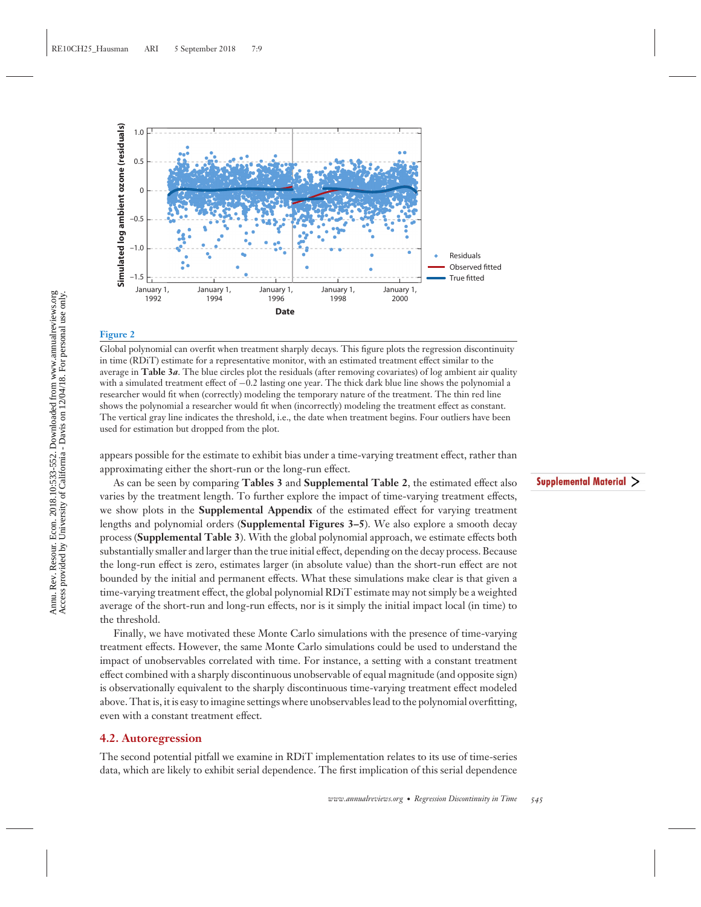

#### **Figure 2**

Global polynomial can overfit when treatment sharply decays. This figure plots the regression discontinuity in time (RDiT) estimate for a representative monitor, with an estimated treatment effect similar to the average in **Table 3***a*. The blue circles plot the residuals (after removing covariates) of log ambient air quality with a simulated treatment effect of −0.2 lasting one year. The thick dark blue line shows the polynomial a researcher would fit when (correctly) modeling the temporary nature of the treatment. The thin red line shows the polynomial a researcher would fit when (incorrectly) modeling the treatment effect as constant. The vertical gray line indicates the threshold, i.e., the date when treatment begins. Four outliers have been used for estimation but dropped from the plot.

appears possible for the estimate to exhibit bias under a time-varying treatment effect, rather than approximating either the short-run or the long-run effect.

As can be seen by comparing **Tables 3** and **Supplemental Table 2**, the estimated effect also varies by the treatment length. To further explore the impact of time-varying treatment effects, we show plots in the **Supplemental Appendix** of the estimated effect for varying treatment lengths and polynomial orders (**Supplemental Figures 3–5**). We also explore a smooth decay process (**Supplemental Table 3**). With the global polynomial approach, we estimate effects both substantially smaller and larger than the true initial effect, depending on the decay process. Because the long-run effect is zero, estimates larger (in absolute value) than the short-run effect are not bounded by the initial and permanent effects. What these simulations make clear is that given a time-varying treatment effect, the global polynomial RDiT estimate may not simply be a weighted average of the short-run and long-run effects, nor is it simply the initial impact local (in time) to the threshold.

Finally, we have motivated these Monte Carlo simulations with the presence of time-varying treatment effects. However, the same Monte Carlo simulations could be used to understand the impact of unobservables correlated with time. For instance, a setting with a constant treatment effect combined with a sharply discontinuous unobservable of equal magnitude (and opposite sign) is observationally equivalent to the sharply discontinuous time-varying treatment effect modeled above. That is, it is easy to imagine settings where unobservables lead to the polynomial overfitting, even with a constant treatment effect.

#### **4.2. Autoregression**

The second potential pitfall we examine in RDiT implementation relates to its use of time-series data, which are likely to exhibit serial dependence. The first implication of this serial dependence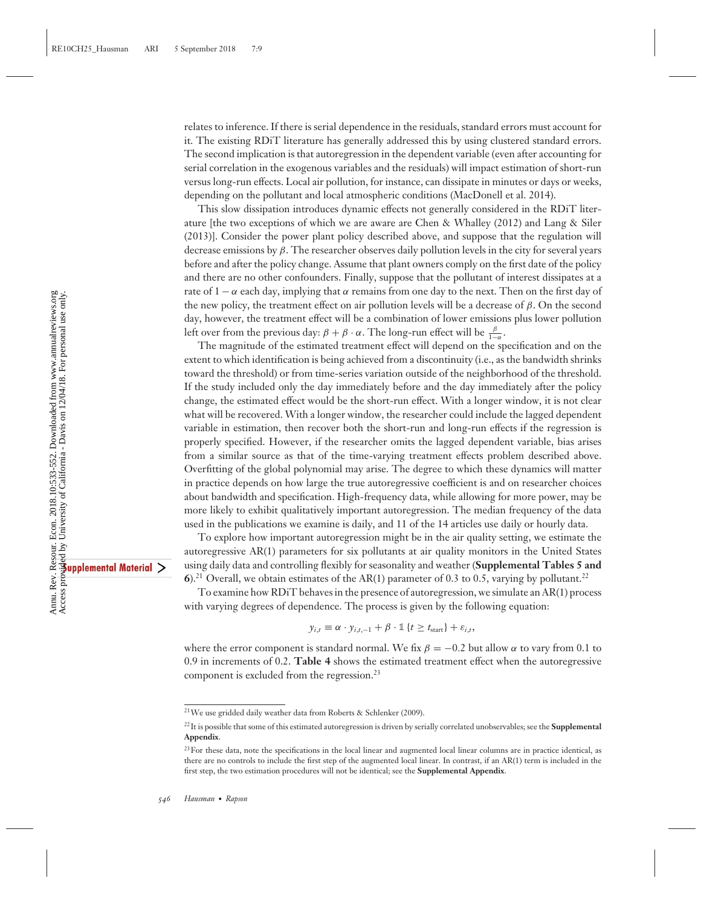relates to inference. If there is serial dependence in the residuals, standard errors must account for it. The existing RDiT literature has generally addressed this by using clustered standard errors. The second implication is that autoregression in the dependent variable (even after accounting for serial correlation in the exogenous variables and the residuals) will impact estimation of short-run versus long-run effects. Local air pollution, for instance, can dissipate in minutes or days or weeks, depending on the pollutant and local atmospheric conditions (MacDonell et al. 2014).

This slow dissipation introduces dynamic effects not generally considered in the RDiT literature [the two exceptions of which we are aware are Chen & Whalley (2012) and Lang & Siler (2013)]. Consider the power plant policy described above, and suppose that the regulation will decrease emissions by  $\beta$ . The researcher observes daily pollution levels in the city for several years before and after the policy change. Assume that plant owners comply on the first date of the policy and there are no other confounders. Finally, suppose that the pollutant of interest dissipates at a rate of  $1 - \alpha$  each day, implying that  $\alpha$  remains from one day to the next. Then on the first day of the new policy, the treatment effect on air pollution levels will be a decrease of  $\beta$ . On the second day, however, the treatment effect will be a combination of lower emissions plus lower pollution left over from the previous day:  $\beta + \beta \cdot \alpha$ . The long-run effect will be  $\frac{\beta}{1-\alpha}$ .

The magnitude of the estimated treatment effect will depend on the specification and on the extent to which identification is being achieved from a discontinuity (i.e., as the bandwidth shrinks toward the threshold) or from time-series variation outside of the neighborhood of the threshold. If the study included only the day immediately before and the day immediately after the policy change, the estimated effect would be the short-run effect. With a longer window, it is not clear what will be recovered. With a longer window, the researcher could include the lagged dependent variable in estimation, then recover both the short-run and long-run effects if the regression is properly specified. However, if the researcher omits the lagged dependent variable, bias arises from a similar source as that of the time-varying treatment effects problem described above. Overfitting of the global polynomial may arise. The degree to which these dynamics will matter in practice depends on how large the true autoregressive coefficient is and on researcher choices about bandwidth and specification. High-frequency data, while allowing for more power, may be more likely to exhibit qualitatively important autoregression. The median frequency of the data used in the publications we examine is daily, and 11 of the 14 articles use daily or hourly data.

To explore how important autoregression might be in the air quality setting, we estimate the autoregressive AR(1) parameters for six pollutants at air quality monitors in the United States using daily data and controlling flexibly for seasonality and weather (**Supplemental Tables 5 and 6**).<sup>21</sup> Overall, we obtain estimates of the AR(1) parameter of 0.3 to 0.5, varying by pollutant.<sup>22</sup>

To examine how RDiT behaves in the presence of autoregression, we simulate an AR(1) process with varying degrees of dependence. The process is given by the following equation:

$$
y_{i,t} \equiv \alpha \cdot y_{i,t,-1} + \beta \cdot \mathbb{1} \{t \ge t_{\text{start}}\} + \varepsilon_{i,t},
$$

where the error component is standard normal. We fix  $\beta = -0.2$  but allow  $\alpha$  to vary from 0.1 to 0.9 in increments of 0.2. **Table 4** shows the estimated treatment effect when the autoregressive component is excluded from the regression.<sup>23</sup>

<sup>21</sup>We use gridded daily weather data from Roberts & Schlenker (2009).

<sup>22</sup>It is possible that some of this estimated autoregression is driven by serially correlated unobservables; see the **Supplemental Appendix**.

<sup>&</sup>lt;sup>23</sup>For these data, note the specifications in the local linear and augmented local linear columns are in practice identical, as there are no controls to include the first step of the augmented local linear. In contrast, if an AR(1) term is included in the first step, the two estimation procedures will not be identical; see the **Supplemental Appendix**.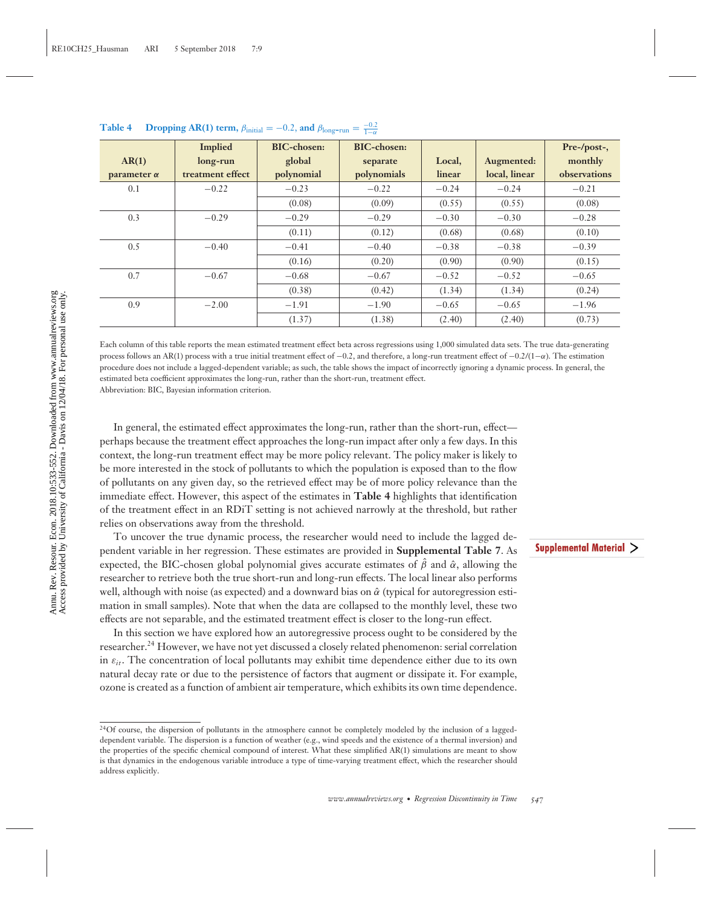|                    | <b>Implied</b>   | <b>BIC-chosen:</b> | BIC-chosen: |         |               | Pre-/post-,  |
|--------------------|------------------|--------------------|-------------|---------|---------------|--------------|
| AR(1)              | long-run         | global             | separate    | Local,  | Augmented:    | monthly      |
| parameter $\alpha$ | treatment effect | polynomial         | polynomials | linear  | local, linear | observations |
| 0.1                | $-0.22$          | $-0.23$            | $-0.22$     | $-0.24$ | $-0.24$       | $-0.21$      |
|                    |                  | (0.08)             | (0.09)      | (0.55)  | (0.55)        | (0.08)       |
| 0.3                | $-0.29$          | $-0.29$            | $-0.29$     | $-0.30$ | $-0.30$       | $-0.28$      |
|                    |                  | (0.11)             | (0.12)      | (0.68)  | (0.68)        | (0.10)       |
| 0.5                | $-0.40$          | $-0.41$            | $-0.40$     | $-0.38$ | $-0.38$       | $-0.39$      |
|                    |                  | (0.16)             | (0.20)      | (0.90)  | (0.90)        | (0.15)       |
| 0.7                | $-0.67$          | $-0.68$            | $-0.67$     | $-0.52$ | $-0.52$       | $-0.65$      |
|                    |                  | (0.38)             | (0.42)      | (1.34)  | (1.34)        | (0.24)       |
| 0.9                | $-2.00$          | $-1.91$            | $-1.90$     | $-0.65$ | $-0.65$       | $-1.96$      |
|                    |                  | (1.37)             | (1.38)      | (2.40)  | (2.40)        | (0.73)       |

**Table 4** Dropping AR(1) term,  $\beta_{initial} = -0.2$ , and  $\beta_{long-run} = \frac{-0.2}{1-\alpha}$ 

Each column of this table reports the mean estimated treatment effect beta across regressions using 1,000 simulated data sets. The true data-generating process follows an AR(1) process with a true initial treatment effect of  $-0.2$ , and therefore, a long-run treatment effect of  $-0.2/(1-\alpha)$ . The estimation procedure does not include a lagged-dependent variable; as such, the table shows the impact of incorrectly ignoring a dynamic process. In general, the estimated beta coefficient approximates the long-run, rather than the short-run, treatment effect.

Abbreviation: BIC, Bayesian information criterion.

In general, the estimated effect approximates the long-run, rather than the short-run, effect perhaps because the treatment effect approaches the long-run impact after only a few days. In this context, the long-run treatment effect may be more policy relevant. The policy maker is likely to be more interested in the stock of pollutants to which the population is exposed than to the flow of pollutants on any given day, so the retrieved effect may be of more policy relevance than the immediate effect. However, this aspect of the estimates in **Table 4** highlights that identification of the treatment effect in an RDiT setting is not achieved narrowly at the threshold, but rather relies on observations away from the threshold.

To uncover the true dynamic process, the researcher would need to include the lagged dependent variable in her regression. These estimates are provided in **Supplemental Table 7**. As expected, the BIC-chosen global polynomial gives accurate estimates of  $\hat{\beta}$  and  $\hat{\alpha}$ , allowing the researcher to retrieve both the true short-run and long-run effects. The local linear also performs well, although with noise (as expected) and a downward bias on  $\hat{\alpha}$  (typical for autoregression estimation in small samples). Note that when the data are collapsed to the monthly level, these two effects are not separable, and the estimated treatment effect is closer to the long-run effect.

In this section we have explored how an autoregressive process ought to be considered by the researcher.<sup>24</sup> However, we have not yet discussed a closely related phenomenon: serial correlation in  $\varepsilon_{it}$ . The concentration of local pollutants may exhibit time dependence either due to its own natural decay rate or due to the persistence of factors that augment or dissipate it. For example, ozone is created as a function of ambient air temperature, which exhibits its own time dependence.

<sup>&</sup>lt;sup>24</sup>Of course, the dispersion of pollutants in the atmosphere cannot be completely modeled by the inclusion of a laggeddependent variable. The dispersion is a function of weather (e.g., wind speeds and the existence of a thermal inversion) and the properties of the specific chemical compound of interest. What these simplified AR(1) simulations are meant to show is that dynamics in the endogenous variable introduce a type of time-varying treatment effect, which the researcher should address explicitly.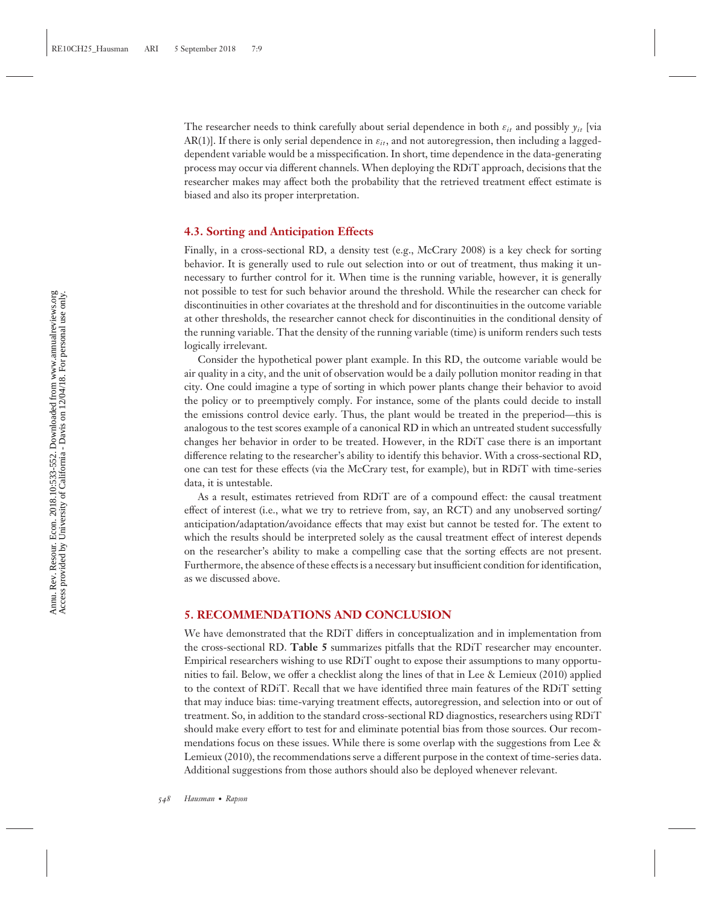The researcher needs to think carefully about serial dependence in both  $\varepsilon_{it}$  and possibly  $y_{it}$  [via AR(1)]. If there is only serial dependence in  $\varepsilon_{it}$ , and not autoregression, then including a laggeddependent variable would be a misspecification. In short, time dependence in the data-generating process may occur via different channels. When deploying the RDiT approach, decisions that the researcher makes may affect both the probability that the retrieved treatment effect estimate is biased and also its proper interpretation.

#### **4.3. Sorting and Anticipation Effects**

Finally, in a cross-sectional RD, a density test (e.g., McCrary 2008) is a key check for sorting behavior. It is generally used to rule out selection into or out of treatment, thus making it unnecessary to further control for it. When time is the running variable, however, it is generally not possible to test for such behavior around the threshold. While the researcher can check for discontinuities in other covariates at the threshold and for discontinuities in the outcome variable at other thresholds, the researcher cannot check for discontinuities in the conditional density of the running variable. That the density of the running variable (time) is uniform renders such tests logically irrelevant.

Consider the hypothetical power plant example. In this RD, the outcome variable would be air quality in a city, and the unit of observation would be a daily pollution monitor reading in that city. One could imagine a type of sorting in which power plants change their behavior to avoid the policy or to preemptively comply. For instance, some of the plants could decide to install the emissions control device early. Thus, the plant would be treated in the preperiod—this is analogous to the test scores example of a canonical RD in which an untreated student successfully changes her behavior in order to be treated. However, in the RDiT case there is an important difference relating to the researcher's ability to identify this behavior. With a cross-sectional RD, one can test for these effects (via the McCrary test, for example), but in RDiT with time-series data, it is untestable.

As a result, estimates retrieved from RDiT are of a compound effect: the causal treatment effect of interest (i.e., what we try to retrieve from, say, an RCT) and any unobserved sorting/ anticipation/adaptation/avoidance effects that may exist but cannot be tested for. The extent to which the results should be interpreted solely as the causal treatment effect of interest depends on the researcher's ability to make a compelling case that the sorting effects are not present. Furthermore, the absence of these effects is a necessary but insufficient condition for identification, as we discussed above.

#### **5. RECOMMENDATIONS AND CONCLUSION**

We have demonstrated that the RDiT differs in conceptualization and in implementation from the cross-sectional RD. **Table 5** summarizes pitfalls that the RDiT researcher may encounter. Empirical researchers wishing to use RDiT ought to expose their assumptions to many opportunities to fail. Below, we offer a checklist along the lines of that in Lee & Lemieux (2010) applied to the context of RDiT. Recall that we have identified three main features of the RDiT setting that may induce bias: time-varying treatment effects, autoregression, and selection into or out of treatment. So, in addition to the standard cross-sectional RD diagnostics, researchers using RDiT should make every effort to test for and eliminate potential bias from those sources. Our recommendations focus on these issues. While there is some overlap with the suggestions from Lee & Lemieux (2010), the recommendations serve a different purpose in the context of time-series data. Additional suggestions from those authors should also be deployed whenever relevant.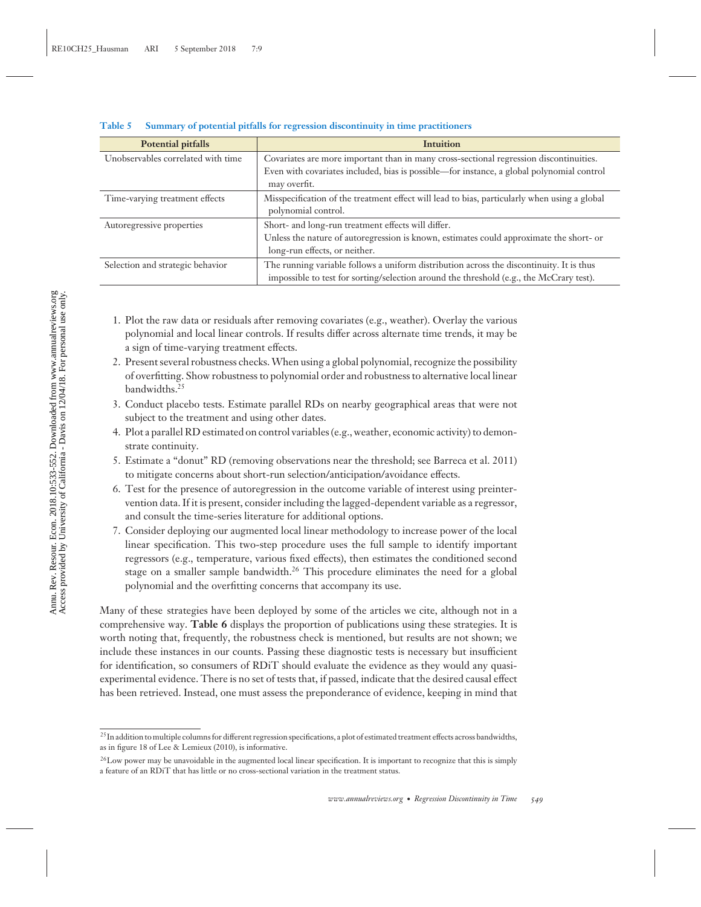| Potential pitfalls                 | <b>Intuition</b>                                                                                                                                                                    |
|------------------------------------|-------------------------------------------------------------------------------------------------------------------------------------------------------------------------------------|
| Unobservables correlated with time | Covariates are more important than in many cross-sectional regression discontinuities.                                                                                              |
|                                    | Even with covariates included, bias is possible-for instance, a global polynomial control<br>may overfit.                                                                           |
| Time-varying treatment effects     | Misspecification of the treatment effect will lead to bias, particularly when using a global                                                                                        |
|                                    | polynomial control.                                                                                                                                                                 |
| Autoregressive properties          | Short- and long-run treatment effects will differ.                                                                                                                                  |
|                                    | Unless the nature of autoregression is known, estimates could approximate the short- or                                                                                             |
|                                    | long-run effects, or neither.                                                                                                                                                       |
| Selection and strategic behavior   | The running variable follows a uniform distribution across the discontinuity. It is thus<br>impossible to test for sorting/selection around the threshold (e.g., the McCrary test). |

#### **Table 5 Summary of potential pitfalls for regression discontinuity in time practitioners**

- 1. Plot the raw data or residuals after removing covariates (e.g., weather). Overlay the various polynomial and local linear controls. If results differ across alternate time trends, it may be a sign of time-varying treatment effects.
- 2. Present several robustness checks.When using a global polynomial, recognize the possibility of overfitting. Show robustness to polynomial order and robustness to alternative local linear bandwidths.<sup>25</sup>
- 3. Conduct placebo tests. Estimate parallel RDs on nearby geographical areas that were not subject to the treatment and using other dates.
- 4. Plot a parallel RD estimated on control variables (e.g., weather, economic activity) to demonstrate continuity.
- 5. Estimate a "donut" RD (removing observations near the threshold; see Barreca et al. 2011) to mitigate concerns about short-run selection/anticipation/avoidance effects.
- 6. Test for the presence of autoregression in the outcome variable of interest using preintervention data. If it is present, consider including the lagged-dependent variable as a regressor, and consult the time-series literature for additional options.
- 7. Consider deploying our augmented local linear methodology to increase power of the local linear specification. This two-step procedure uses the full sample to identify important regressors (e.g., temperature, various fixed effects), then estimates the conditioned second stage on a smaller sample bandwidth.<sup>26</sup> This procedure eliminates the need for a global polynomial and the overfitting concerns that accompany its use.

Many of these strategies have been deployed by some of the articles we cite, although not in a comprehensive way. **Table 6** displays the proportion of publications using these strategies. It is worth noting that, frequently, the robustness check is mentioned, but results are not shown; we include these instances in our counts. Passing these diagnostic tests is necessary but insufficient for identification, so consumers of RDiT should evaluate the evidence as they would any quasiexperimental evidence. There is no set of tests that, if passed, indicate that the desired causal effect has been retrieved. Instead, one must assess the preponderance of evidence, keeping in mind that

<sup>&</sup>lt;sup>25</sup> In addition to multiple columns for different regression specifications, a plot of estimated treatment effects across bandwidths, as in figure 18 of Lee & Lemieux (2010), is informative.

<sup>&</sup>lt;sup>26</sup>Low power may be unavoidable in the augmented local linear specification. It is important to recognize that this is simply a feature of an RDiT that has little or no cross-sectional variation in the treatment status.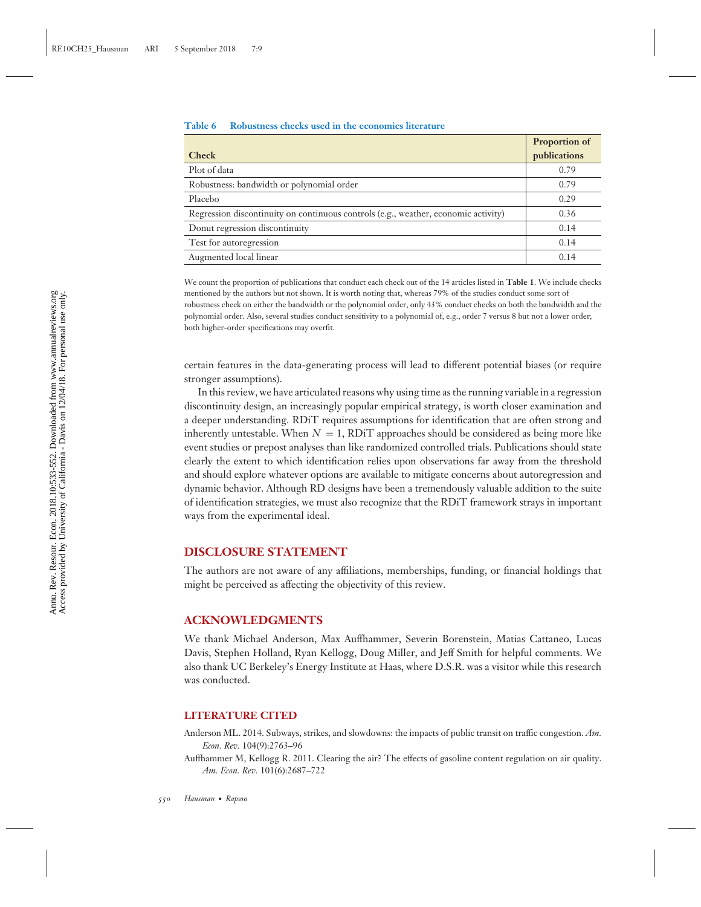#### **Table 6 Robustness checks used in the economics literature**

|                                                                                    | Proportion of |
|------------------------------------------------------------------------------------|---------------|
| <b>Check</b>                                                                       | publications  |
| Plot of data                                                                       | 0.79          |
| Robustness: bandwidth or polynomial order                                          | 0.79          |
| Placebo                                                                            | 0.29          |
| Regression discontinuity on continuous controls (e.g., weather, economic activity) | 0.36          |
| Donut regression discontinuity                                                     | 0.14          |
| Test for autoregression                                                            | 0.14          |
| Augmented local linear                                                             | 0.14          |

We count the proportion of publications that conduct each check out of the 14 articles listed in **Table 1**. We include checks mentioned by the authors but not shown. It is worth noting that, whereas 79% of the studies conduct some sort of robustness check on either the bandwidth or the polynomial order, only 43% conduct checks on both the bandwidth and the polynomial order. Also, several studies conduct sensitivity to a polynomial of, e.g., order 7 versus 8 but not a lower order; both higher-order specifications may overfit.

certain features in the data-generating process will lead to different potential biases (or require stronger assumptions).

In this review, we have articulated reasons why using time as the running variable in a regression discontinuity design, an increasingly popular empirical strategy, is worth closer examination and a deeper understanding. RDiT requires assumptions for identification that are often strong and inherently untestable. When  $N = 1$ , RDiT approaches should be considered as being more like event studies or prepost analyses than like randomized controlled trials. Publications should state clearly the extent to which identification relies upon observations far away from the threshold and should explore whatever options are available to mitigate concerns about autoregression and dynamic behavior. Although RD designs have been a tremendously valuable addition to the suite of identification strategies, we must also recognize that the RDiT framework strays in important ways from the experimental ideal.

#### **DISCLOSURE STATEMENT**

The authors are not aware of any affiliations, memberships, funding, or financial holdings that might be perceived as affecting the objectivity of this review.

#### **ACKNOWLEDGMENTS**

We thank Michael Anderson, Max Auffhammer, Severin Borenstein, Matias Cattaneo, Lucas Davis, Stephen Holland, Ryan Kellogg, Doug Miller, and Jeff Smith for helpful comments. We also thank UC Berkeley's Energy Institute at Haas, where D.S.R. was a visitor while this research was conducted.

#### **LITERATURE CITED**

- Anderson ML. 2014. Subways, strikes, and slowdowns: the impacts of public transit on traffic congestion. *Am. Econ. Rev.* 104(9):2763–96
- Auffhammer M, Kellogg R. 2011. Clearing the air? The effects of gasoline content regulation on air quality. *Am. Econ. Rev.* 101(6):2687–722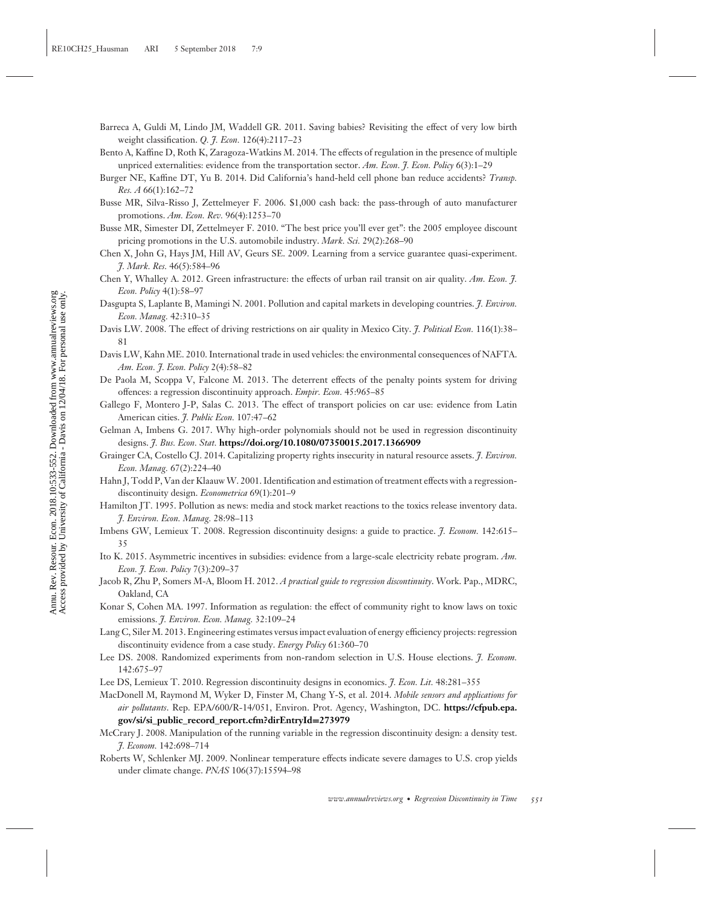- Barreca A, Guldi M, Lindo JM, Waddell GR. 2011. Saving babies? Revisiting the effect of very low birth weight classification. *Q. J. Econ.* 126(4):2117–23
- Bento A, Kaffine D, Roth K, Zaragoza-Watkins M. 2014. The effects of regulation in the presence of multiple unpriced externalities: evidence from the transportation sector. *Am. Econ. J. Econ. Policy* 6(3):1–29
- Burger NE, Kaffine DT, Yu B. 2014. Did California's hand-held cell phone ban reduce accidents? *Transp. Res. A* 66(1):162–72
- Busse MR, Silva-Risso J, Zettelmeyer F. 2006. \$1,000 cash back: the pass-through of auto manufacturer promotions. *Am. Econ. Rev.* 96(4):1253–70
- Busse MR, Simester DI, Zettelmeyer F. 2010. "The best price you'll ever get": the 2005 employee discount pricing promotions in the U.S. automobile industry. *Mark. Sci.* 29(2):268–90
- Chen X, John G, Hays JM, Hill AV, Geurs SE. 2009. Learning from a service guarantee quasi-experiment. *J. Mark. Res.* 46(5):584–96
- Chen Y, Whalley A. 2012. Green infrastructure: the effects of urban rail transit on air quality. *Am. Econ. J. Econ. Policy* 4(1):58–97
- Dasgupta S, Laplante B, Mamingi N. 2001. Pollution and capital markets in developing countries. *J. Environ. Econ. Manag.* 42:310–35
- Davis LW. 2008. The effect of driving restrictions on air quality in Mexico City. *J. Political Econ.* 116(1):38– 81
- Davis LW, Kahn ME. 2010. International trade in used vehicles: the environmental consequences of NAFTA. *Am. Econ. J. Econ. Policy* 2(4):58–82
- De Paola M, Scoppa V, Falcone M. 2013. The deterrent effects of the penalty points system for driving offences: a regression discontinuity approach. *Empir. Econ.* 45:965–85
- Gallego F, Montero J-P, Salas C. 2013. The effect of transport policies on car use: evidence from Latin American cities. *J. Public Econ.* 107:47–62
- Gelman A, Imbens G. 2017. Why high-order polynomials should not be used in regression discontinuity designs. *J. Bus. Econ. Stat.* **<https://doi.org/10.1080/07350015.2017.1366909>**
- Grainger CA, Costello CJ. 2014. Capitalizing property rights insecurity in natural resource assets. *J. Environ. Econ. Manag.* 67(2):224–40
- Hahn J, Todd P, Van der KlaauwW. 2001. Identification and estimation of treatment effects with a regressiondiscontinuity design. *Econometrica* 69(1):201–9
- Hamilton JT. 1995. Pollution as news: media and stock market reactions to the toxics release inventory data. *J. Environ. Econ. Manag.* 28:98–113
- Imbens GW, Lemieux T. 2008. Regression discontinuity designs: a guide to practice. *J. Econom.* 142:615– 35
- Ito K. 2015. Asymmetric incentives in subsidies: evidence from a large-scale electricity rebate program. *Am. Econ. J. Econ. Policy* 7(3):209–37
- Jacob R, Zhu P, Somers M-A, Bloom H. 2012. *A practical guide to regression discontinuity*. Work. Pap., MDRC, Oakland, CA
- Konar S, Cohen MA. 1997. Information as regulation: the effect of community right to know laws on toxic emissions. *J. Environ. Econ. Manag.* 32:109–24
- Lang C, Siler M. 2013. Engineering estimates versus impact evaluation of energy efficiency projects: regression discontinuity evidence from a case study. *Energy Policy* 61:360–70
- Lee DS. 2008. Randomized experiments from non-random selection in U.S. House elections. *J. Econom.* 142:675–97
- Lee DS, Lemieux T. 2010. Regression discontinuity designs in economics. *J. Econ. Lit.* 48:281–355
- MacDonell M, Raymond M, Wyker D, Finster M, Chang Y-S, et al. 2014. *Mobile sensors and applications for air pollutants*. Rep. EPA/600/R-14/051, Environ. Prot. Agency, Washington, DC. **[https://cfpub.epa.](https://cfpub.epa.gov/si/si_public_record_report.cfm?dirEntryId=273979) [gov/si/si\\_public\\_record\\_report.cfm?dirEntryId](https://cfpub.epa.gov/si/si_public_record_report.cfm?dirEntryId=273979)=273979**
- McCrary J. 2008. Manipulation of the running variable in the regression discontinuity design: a density test. *J. Econom.* 142:698–714
- Roberts W, Schlenker MJ. 2009. Nonlinear temperature effects indicate severe damages to U.S. crop yields under climate change. *PNAS* 106(37):15594–98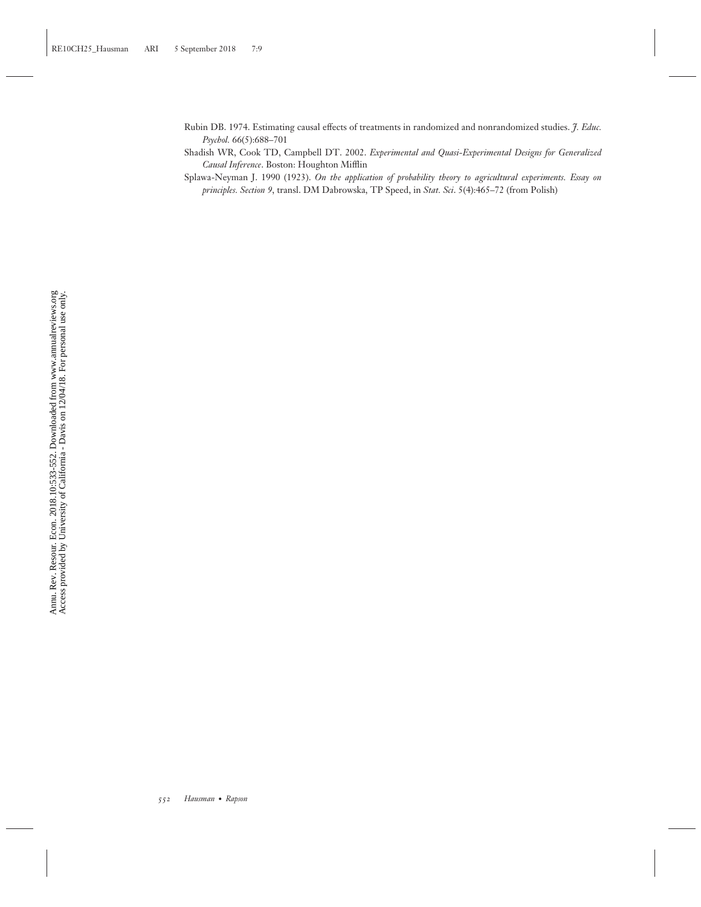- Rubin DB. 1974. Estimating causal effects of treatments in randomized and nonrandomized studies. *J. Educ. Psychol.* 66(5):688–701
- Shadish WR, Cook TD, Campbell DT. 2002. *Experimental and Quasi-Experimental Designs for Generalized Causal Inference*. Boston: Houghton Mifflin

Splawa-Neyman J. 1990 (1923). *On the application of probability theory to agricultural experiments. Essay on principles. Section 9*, transl. DM Dabrowska, TP Speed, in *Stat. Sci*. 5(4):465–72 (from Polish)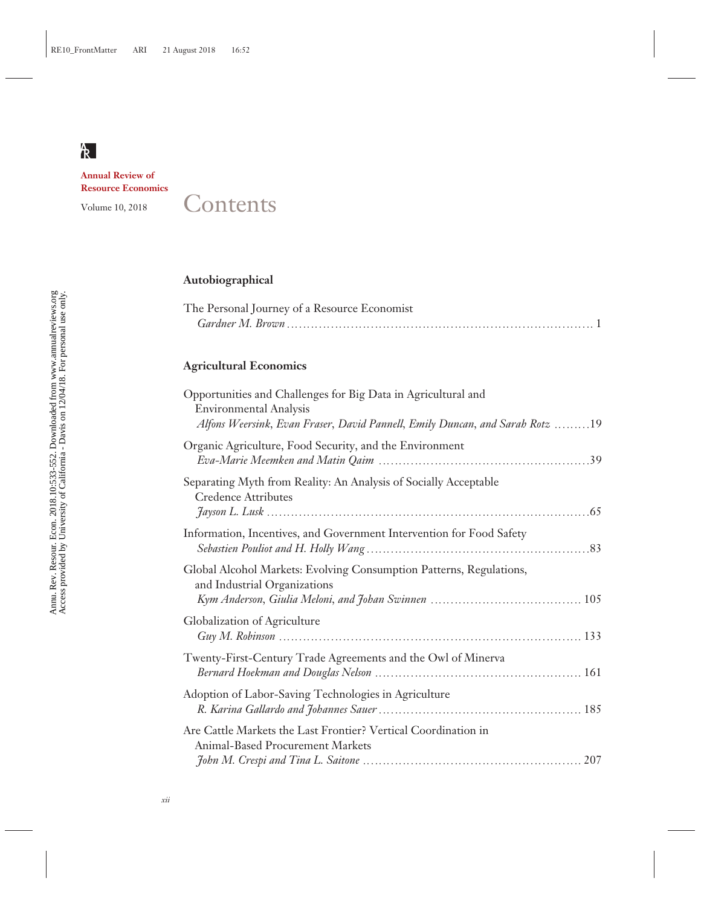**Annual Review of Resource Economics**

# Volume 10, 2018 Contents

## **Autobiographical**

| The Personal Journey of a Resource Economist |  |
|----------------------------------------------|--|
|                                              |  |

## **Agricultural Economics**

| Opportunities and Challenges for Big Data in Agricultural and<br><b>Environmental Analysis</b><br>Alfons Weersink, Evan Fraser, David Pannell, Emily Duncan, and Sarah Rotz 19 |
|--------------------------------------------------------------------------------------------------------------------------------------------------------------------------------|
| Organic Agriculture, Food Security, and the Environment                                                                                                                        |
| Separating Myth from Reality: An Analysis of Socially Acceptable<br><b>Credence Attributes</b>                                                                                 |
| Information, Incentives, and Government Intervention for Food Safety                                                                                                           |
| Global Alcohol Markets: Evolving Consumption Patterns, Regulations,<br>and Industrial Organizations                                                                            |
| Globalization of Agriculture                                                                                                                                                   |
| Twenty-First-Century Trade Agreements and the Owl of Minerva                                                                                                                   |
| Adoption of Labor-Saving Technologies in Agriculture                                                                                                                           |
| Are Cattle Markets the Last Frontier? Vertical Coordination in<br><b>Animal-Based Procurement Markets</b>                                                                      |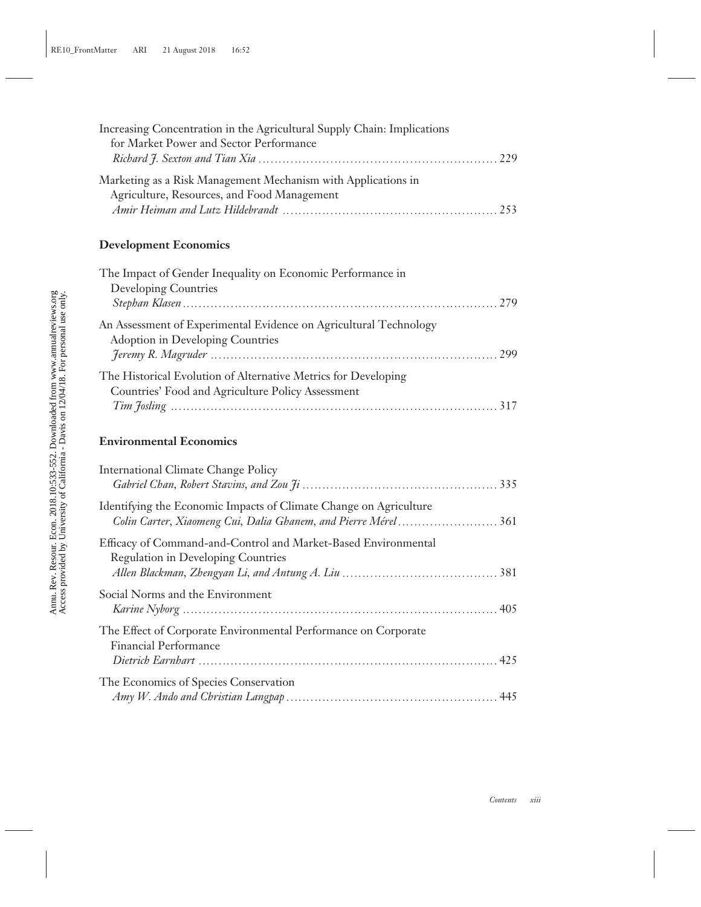| for Market Power and Sector Performance                                                                                              |     |
|--------------------------------------------------------------------------------------------------------------------------------------|-----|
| Marketing as a Risk Management Mechanism with Applications in<br>Agriculture, Resources, and Food Management                         |     |
| <b>Development Economics</b>                                                                                                         |     |
| The Impact of Gender Inequality on Economic Performance in<br><b>Developing Countries</b>                                            | 279 |
| An Assessment of Experimental Evidence on Agricultural Technology<br><b>Adoption in Developing Countries</b>                         |     |
| The Historical Evolution of Alternative Metrics for Developing<br>Countries' Food and Agriculture Policy Assessment                  |     |
| <b>Environmental Economics</b>                                                                                                       |     |
| <b>International Climate Change Policy</b>                                                                                           |     |
| Identifying the Economic Impacts of Climate Change on Agriculture<br>Colin Carter, Xiaomeng Cui, Dalia Ghanem, and Pierre Mérel  361 |     |
| Efficacy of Command-and-Control and Market-Based Environmental<br><b>Regulation in Developing Countries</b>                          |     |
| Social Norms and the Environment                                                                                                     |     |
| The Effect of Corporate Environmental Performance on Corporate<br><b>Financial Performance</b>                                       |     |
| The Economics of Species Conservation                                                                                                |     |

*Amy W. Ando and Christian Langpap* **♣♣♣♣♣♣♣♣♣♣♣♣♣♣♣♣♣♣♣♣♣♣♣♣♣♣♣♣♣♣♣♣♣♣♣♣♣♣♣♣♣♣♣♣♣♣♣♣♣♣♣♣♣** 445

Increasing Concentration in the Agricultural Supply Chain: Implications